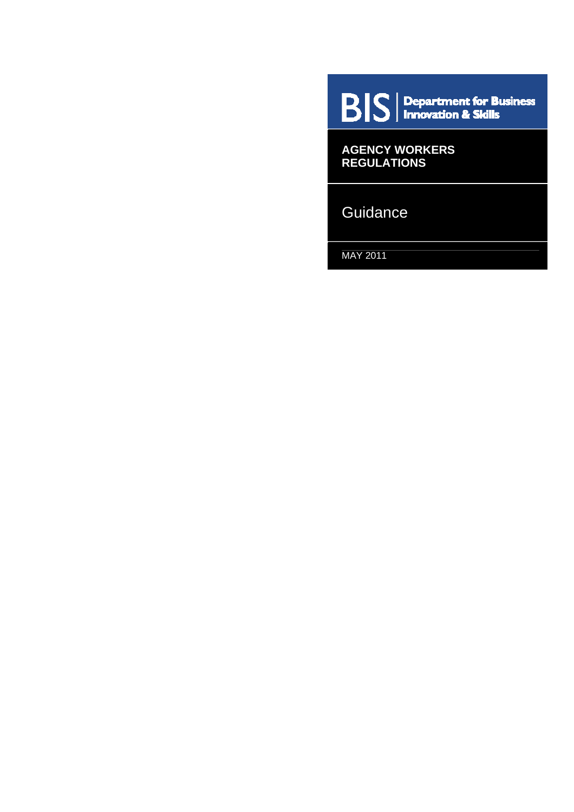$\mathbf{B}|\mathbf{S}|$  Department for Business

**AGENCY WORKERS REGULATIONS** 

**Guidance** 

MAY 2011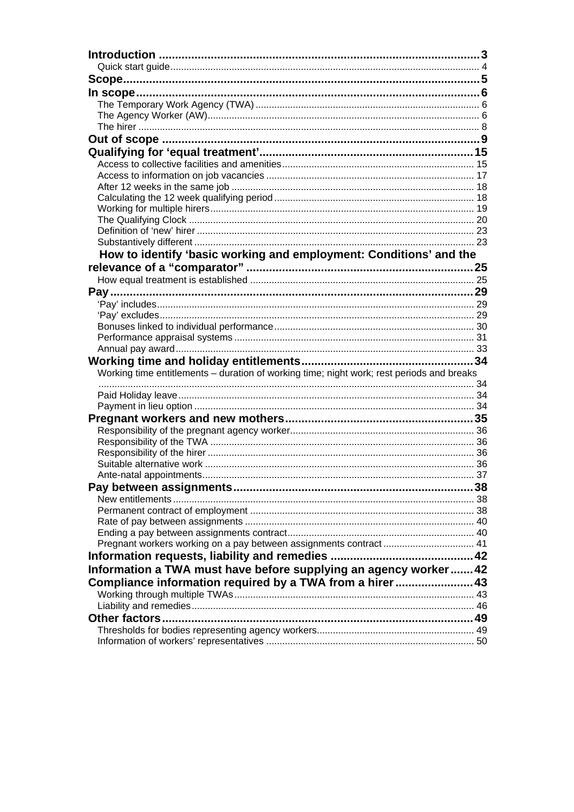| How to identify 'basic working and employment: Conditions' and the                        |    |
|-------------------------------------------------------------------------------------------|----|
|                                                                                           |    |
|                                                                                           |    |
|                                                                                           |    |
|                                                                                           |    |
|                                                                                           |    |
|                                                                                           |    |
|                                                                                           |    |
|                                                                                           |    |
|                                                                                           |    |
| Working time entitlements - duration of working time; night work; rest periods and breaks |    |
|                                                                                           |    |
|                                                                                           |    |
|                                                                                           |    |
|                                                                                           |    |
|                                                                                           |    |
|                                                                                           |    |
|                                                                                           |    |
|                                                                                           |    |
|                                                                                           |    |
|                                                                                           | 38 |
|                                                                                           |    |
|                                                                                           |    |
|                                                                                           |    |
| Pregnant workers working on a pay between assignments contract 41                         |    |
|                                                                                           |    |
|                                                                                           |    |
| Information a TWA must have before supplying an agency worker 42                          |    |
| Compliance information required by a TWA from a hirer 43                                  |    |
|                                                                                           |    |
|                                                                                           |    |
|                                                                                           |    |
|                                                                                           |    |
|                                                                                           |    |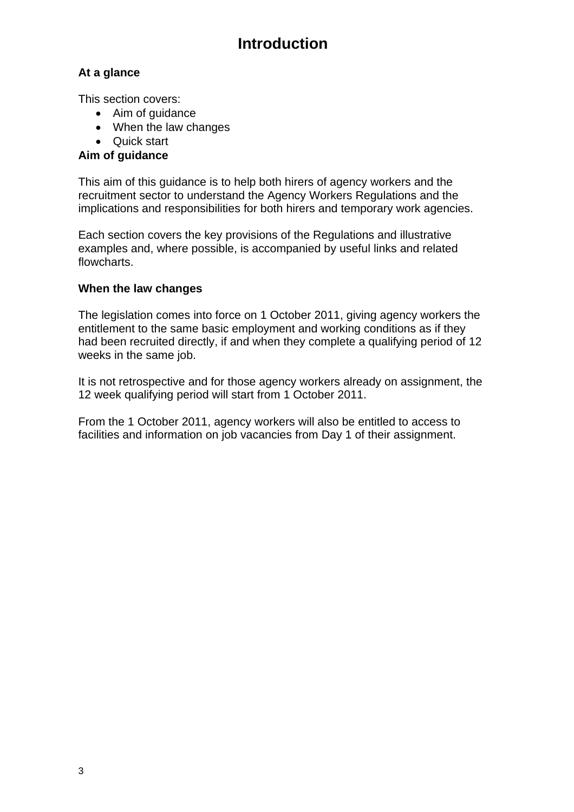# **Introduction**

## <span id="page-2-0"></span>**At a glance**

This section covers:

- Aim of guidance
- When the law changes
- Quick start

### Aim of guidance

This aim of this guidance is to help both hirers of agency workers and the implications and responsibilities for both hirers and temporary work agencies. recruitment sector to understand the Agency Workers Regulations and the

Each section covers the key provisions of the Regulations and illustrative examples and, where possible, is accompanied by useful links and related flowcharts.

### **hen the law changes W**

The legislation comes into force on 1 October 2011, giving agency workers the had been recruited directly, if and when they complete a qualifying period of 12 entitlement to the same basic employment and working conditions as if they weeks in the same job.

It is not retrospective and for those agency workers already on assignment, the 12 week qualifying period will start from 1 October 2011.

From the 1 October 2011, agency workers will also be entitled to access to facilities and information on job vacancies from Day 1 of their assignment.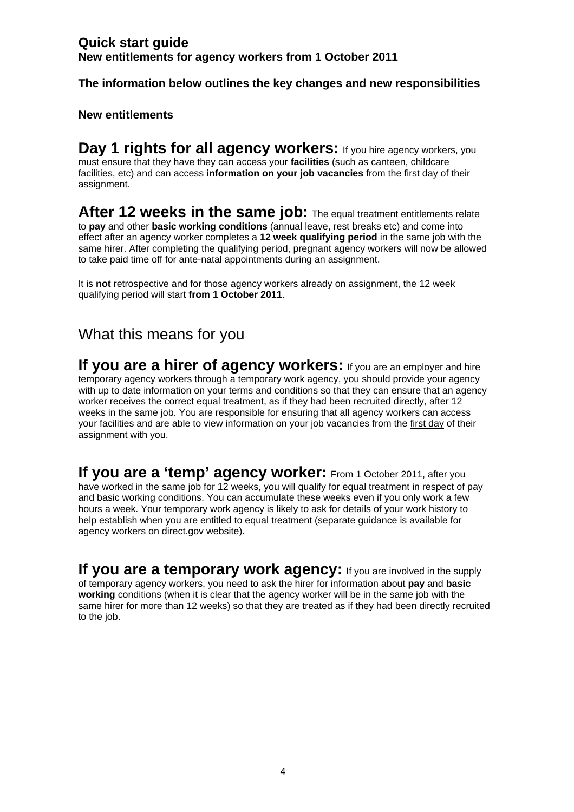## <span id="page-3-0"></span>**Quick start guide New entitlements for agency workers from 1 October 2011**

**The information below outlines the key changes and new responsibilities** 

### **New entitlements**

**Day 1 rights for all agency workers:** If you hire agency workers, you must ensure that they have they can access your **facilities** (such as canteen, childcare facilities, etc) and can access **information on your job vacancies** from the first day of their assignment.

**After 12 weeks in the same job:** The equal treatment entitlements relate to **pay** and other **basic working conditions** (annual leave, rest breaks etc) and come into effect after an agency worker completes a **12 week qualifying period** in the same job with the same hirer. After completing the qualifying period, pregnant agency workers will now be allowed to take paid time off for ante-natal appointments during an assignment.

It is **not** retrospective and for those agency workers already on assignment, the 12 week qualifying period will start **from 1 October 2011**.

## What this means for you

**If you are a hirer of agency workers:** If you are an employer and hire temporary agency workers through a temporary work agency, you should provide your agency with up to date information on your terms and conditions so that they can ensure that an agency worker receives the correct equal treatment, as if they had been recruited directly, after 12 weeks in the same job. You are responsible for ensuring that all agency workers can access your facilities and are able to view information on your job vacancies from the first day of their assignment with you.

**If you are a 'temp' agency worker:** From 1 October 2011, after you have worked in the same job for 12 weeks, you will qualify for equal treatment in respect of pay and basic working conditions. You can accumulate these weeks even if you only work a few hours a week. Your temporary work agency is likely to ask for details of your work history to help establish when you are entitled to equal treatment (separate guidance is available for agency workers on direct.gov website).

**If you are a temporary work agency:** If you are involved in the supply of temporary agency workers, you need to ask the hirer for information about **pay** and **basic working** conditions (when it is clear that the agency worker will be in the same job with the same hirer for more than 12 weeks) so that they are treated as if they had been directly recruited to the job.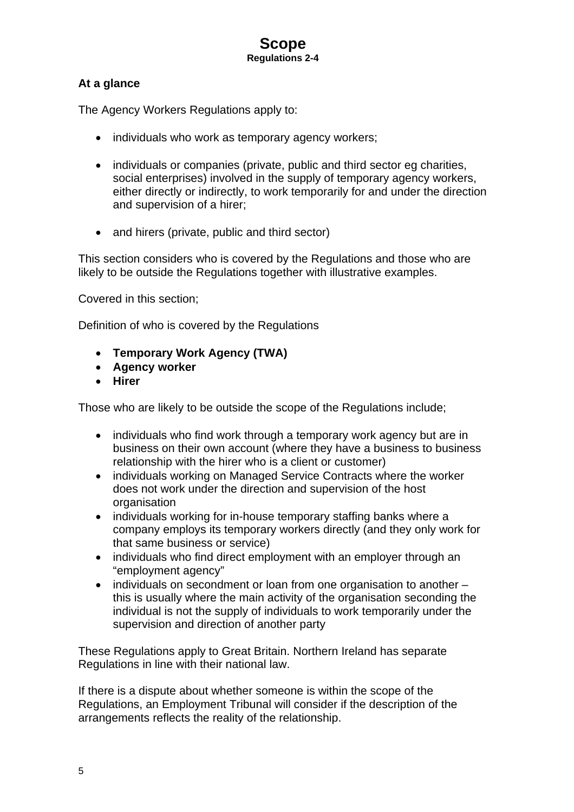## <span id="page-4-0"></span>**At a glance**

The Agency Workers Regulations apply to:

- individuals who work as temporary agency workers;
- individuals or companies (private, public and third sector eg charities, social enterprises) involved in the supply of temporary agency workers, either directly or indirectly, to work temporarily for and under the direction and supervision of a hirer;
- and hirers (private, public and third sector)

This section considers who is covered by the Regulations and those who are likely to be outside the Regulations together with illustrative examples.

Covered in this section;

Definition of who is covered by the Regulations

- **Temporary Work Agency (TWA)**
- **Agency worker**
- **Hirer**

Those who are likely to be outside the scope of the Regulations include;

- individuals who find work through a temporary work agency but are in business on their own account (where they have a business to business relationship with the hirer who is a client or customer)
- individuals working on Managed Service Contracts where the worker does not work under the direction and supervision of the host organisation
- individuals working for in-house temporary staffing banks where a company employs its temporary workers directly (and they only work for that same business or service)
- individuals who find direct employment with an employer through an "employment agency"
- individuals on secondment or loan from one organisation to another this is usually where the main activity of the organisation seconding the individual is not the supply of individuals to work temporarily under the supervision and direction of another party

These Regulations apply to Great Britain. Northern Ireland has separate Regulations in line with their national law.

If there is a dispute about whether someone is within the scope of the Regulations, an Employment Tribunal will consider if the description of the arrangements reflects the reality of the relationship.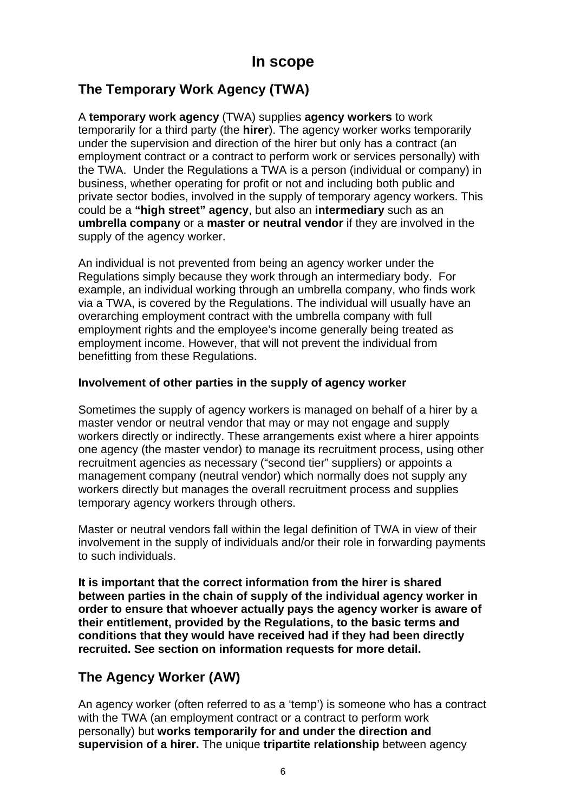## <span id="page-5-0"></span>**The Temporary Work Agency (TWA)**

A **temporary work agency** (TWA) supplies **agency workers** to work temporarily for a third party (the **hirer**). The agency worker works temporarily under the supervision and direction of the hirer but only has a contract (an employment contract or a contract to perform work or services personally) with the TWA. Under the Regulations a TWA is a person (individual or company) in business, whether operating for profit or not and including both public and private sector bodies, involved in the supply of temporary agency workers. This could be a **"high street" agency**, but also an **intermediary** such as an **umbrella company** or a **master or neutral vendor** if they are involved in the supply of the agency worker.

An individual is not prevented from being an agency worker under the Regulations simply because they work through an intermediary body. For example, an individual working through an umbrella company, who finds work via a TWA, is covered by the Regulations. The individual will usually have an overarching employment contract with the umbrella company with full employment rights and the employee's income generally being treated as employment income. However, that will not prevent the individual from benefitting from these Regulations.

## **Involvement of other parties in the supply of agency worker**

Sometimes the supply of agency workers is managed on behalf of a hirer by a master vendor or neutral vendor that may or may not engage and supply workers directly or indirectly. These arrangements exist where a hirer appoints one agency (the master vendor) to manage its recruitment process, using other recruitment agencies as necessary ("second tier" suppliers) or appoints a management company (neutral vendor) which normally does not supply any workers directly but manages the overall recruitment process and supplies temporary agency workers through others.

Master or neutral vendors fall within the legal definition of TWA in view of their involvement in the supply of individuals and/or their role in forwarding payments to such individuals.

**It is important that the correct information from the hirer is shared between parties in the chain of supply of the individual agency worker in order to ensure that whoever actually pays the agency worker is aware of their entitlement, provided by the Regulations, to the basic terms and conditions that they would have received had if they had been directly recruited. See section on information requests for more detail.** 

## **The Agency Worker (AW)**

An agency worker (often referred to as a 'temp') is someone who has a contract with the TWA (an employment contract or a contract to perform work personally) but **works temporarily for and under the direction and supervision of a hirer.** The unique **tripartite relationship** between agency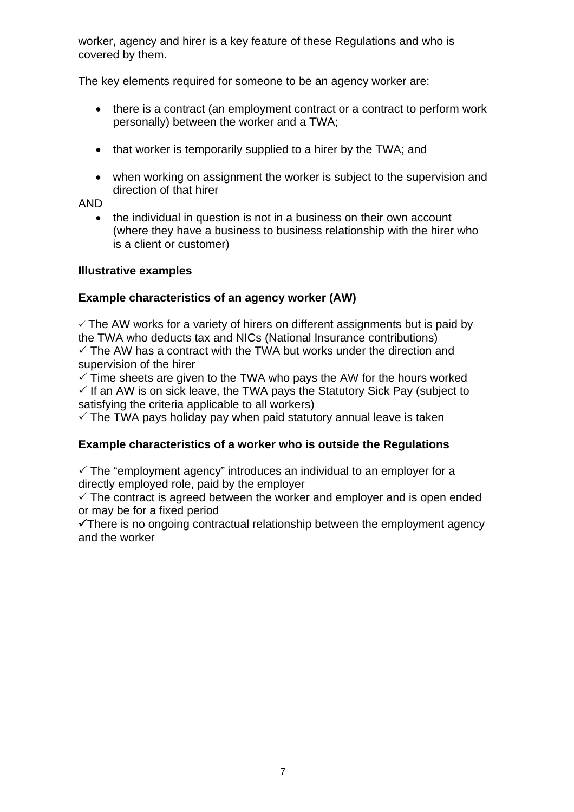worker, agency and hirer is a key feature of these Regulations and who is covered by them.

The key elements required for someone to be an agency worker are:

- there is a contract (an employment contract or a contract to perform work personally) between the worker and a TWA;
- that worker is temporarily supplied to a hirer by the TWA; and
- when working on assignment the worker is subject to the supervision and direction of that hirer

AND

• the individual in question is not in a business on their own account (where they have a business to business relationship with the hirer who is a client or customer)

### **Illustrative examples**

### **Example characteristics of an agency worker (AW)**

 $\checkmark$  The AW works for a variety of hirers on different assignments but is paid by the TWA who deducts tax and NICs (National Insurance contributions)  $\checkmark$  The AW has a contract with the TWA but works under the direction and supervision of the hirer

 $\checkmark$  Time sheets are given to the TWA who pays the AW for the hours worked  $\checkmark$  If an AW is on sick leave, the TWA pays the Statutory Sick Pay (subject to satisfying the criteria applicable to all workers)

 $\checkmark$  The TWA pays holiday pay when paid statutory annual leave is taken

### **Example characteristics of a worker who is outside the Regulations**

 $\checkmark$  The "employment agency" introduces an individual to an employer for a directly employed role, paid by the employer

 $\checkmark$  The contract is agreed between the worker and employer and is open ended or may be for a fixed period

 $\checkmark$ There is no ongoing contractual relationship between the employment agency and the worker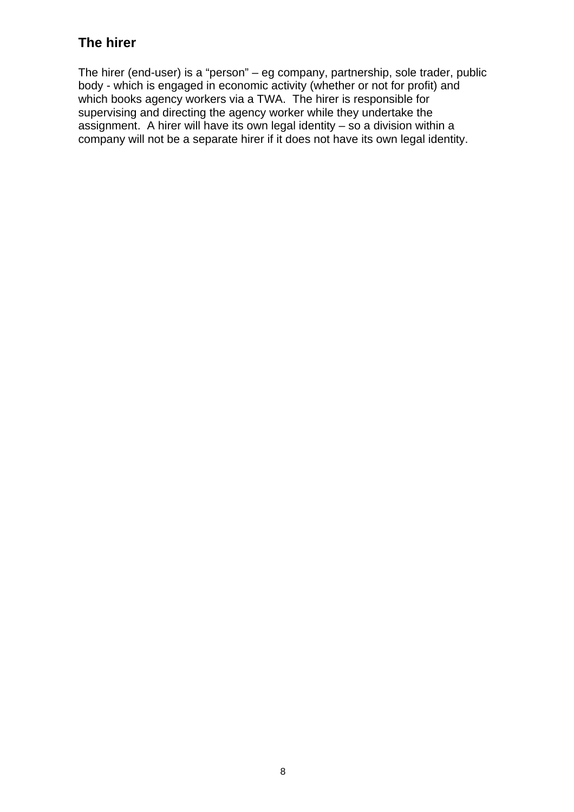## <span id="page-7-0"></span>**The hirer**

The hirer (end-user) is a "person" – eg company, partnership, sole trader, public body - which is engaged in economic activity (whether or not for profit) and which books agency workers via a TWA. The hirer is responsible for supervising and directing the agency worker while they undertake the assignment. A hirer will have its own legal identity – so a division within a company will not be a separate hirer if it does not have its own legal identity.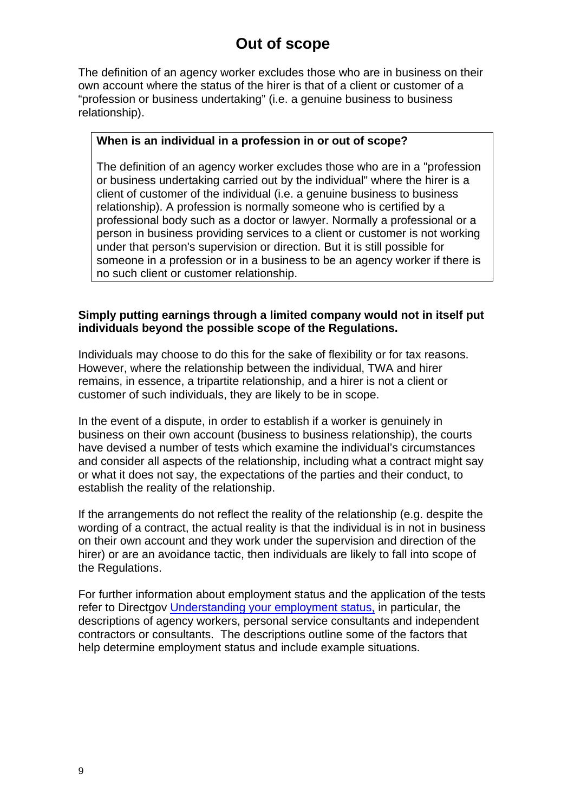# **Out of scope**

<span id="page-8-0"></span>The definition of an agency worker excludes those who are in business on their own account where the status of the hirer is that of a client or customer of a "profession or business undertaking" (i.e. a genuine business to business relationship).

#### **When is an individual in a profession in or out of scope?**

The definition of an agency worker excludes those who are in a "profession or business undertaking carried out by the individual" where the hirer is a client of customer of the individual (i.e. a genuine business to business relationship). A profession is normally someone who is certified by a professional body such as a doctor or lawyer. Normally a professional or a person in business providing services to a client or customer is not working under that person's supervision or direction. But it is still possible for someone in a profession or in a business to be an agency worker if there is no such client or customer relationship.

### **Simply putting earnings through a limited company would not in itself put individuals beyond the possible scope of the Regulations.**

Individuals may choose to do this for the sake of flexibility or for tax reasons. However, where the relationship between the individual, TWA and hirer remains, in essence, a tripartite relationship, and a hirer is not a client or customer of such individuals, they are likely to be in scope.

In the event of a dispute, in order to establish if a worker is genuinely in business on their own account (business to business relationship), the courts have devised a number of tests which examine the individual's circumstances and consider all aspects of the relationship, including what a contract might say or what it does not say, the expectations of the parties and their conduct, to establish the reality of the relationship.

If the arrangements do not reflect the reality of the relationship (e.g. despite the wording of a contract, the actual reality is that the individual is in not in business on their own account and they work under the supervision and direction of the hirer) or are an avoidance tactic, then individuals are likely to fall into scope of the Regulations.

For further information about employment status and the application of the tests refer to Directgov [Understanding your employment status](http://www.direct.gov.uk/en/Employment/Understandingyourworkstatus/index.htm), in particular, the descriptions of agency workers, personal service consultants and independent contractors or consultants. The descriptions outline some of the factors that help determine employment status and include example situations.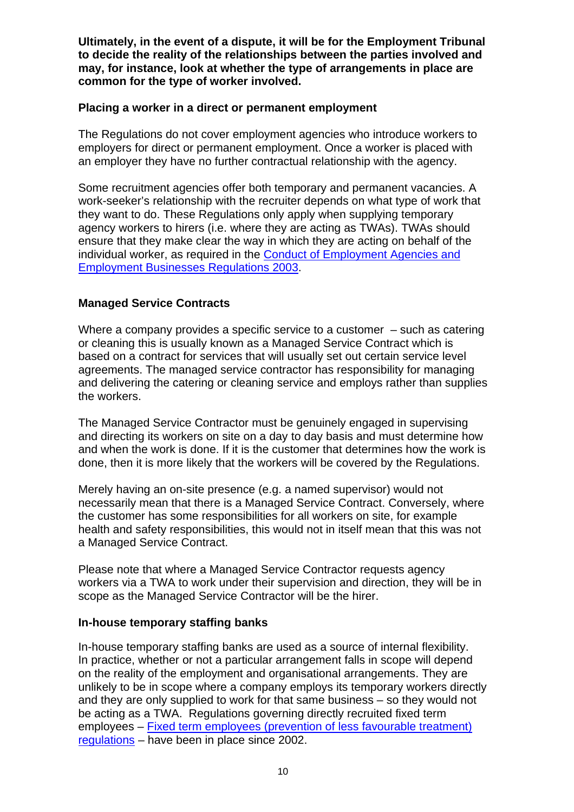**Ultimately, in the event of a dispute, it will be for the Employment Tribunal to decide the reality of the relationships between the parties involved and may, for instance, look at whether the type of arrangements in place are common for the type of worker involved.** 

### **Placing a worker in a direct or permanent employment**

The Regulations do not cover employment agencies who introduce workers to employers for direct or permanent employment. Once a worker is placed with an employer they have no further contractual relationship with the agency.

Some recruitment agencies offer both temporary and permanent vacancies. A work-seeker's relationship with the recruiter depends on what type of work that they want to do. These Regulations only apply when supplying temporary agency workers to hirers (i.e. where they are acting as TWAs). TWAs should ensure that they make clear the way in which they are acting on behalf of the individual worker, as required in the [Conduct of Employment Agencies and](http://www.businesslink.gov.uk/bdotg/action/layer?topicId=1081755778)  [Employment Businesses Regulations 2003](http://www.businesslink.gov.uk/bdotg/action/layer?topicId=1081755778).

## **Managed Service Contracts**

Where a company provides a specific service to a customer – such as catering or cleaning this is usually known as a Managed Service Contract which is based on a contract for services that will usually set out certain service level agreements. The managed service contractor has responsibility for managing and delivering the catering or cleaning service and employs rather than supplies the workers.

The Managed Service Contractor must be genuinely engaged in supervising and directing its workers on site on a day to day basis and must determine how and when the work is done. If it is the customer that determines how the work is done, then it is more likely that the workers will be covered by the Regulations.

Merely having an on-site presence (e.g. a named supervisor) would not necessarily mean that there is a Managed Service Contract. Conversely, where the customer has some responsibilities for all workers on site, for example health and safety responsibilities, this would not in itself mean that this was not a Managed Service Contract.

Please note that where a Managed Service Contractor requests agency workers via a TWA to work under their supervision and direction, they will be in scope as the Managed Service Contractor will be the hirer.

## **In-house temporary staffing banks**

In-house temporary staffing banks are used as a source of internal flexibility. In practice, whether or not a particular arrangement falls in scope will depend on the reality of the employment and organisational arrangements. They are unlikely to be in scope where a company employs its temporary workers directly and they are only supplied to work for that same business – so they would not be acting as a TWA. Regulations governing directly recruited fixed term employees – [Fixed term employees \(prevention of less favourable treatment\)](http://www.businesslink.gov.uk/bdotg/action/detail?itemId=1081861382&type=RESOURCES)  [regulations](http://www.businesslink.gov.uk/bdotg/action/detail?itemId=1081861382&type=RESOURCES) – have been in place since 2002.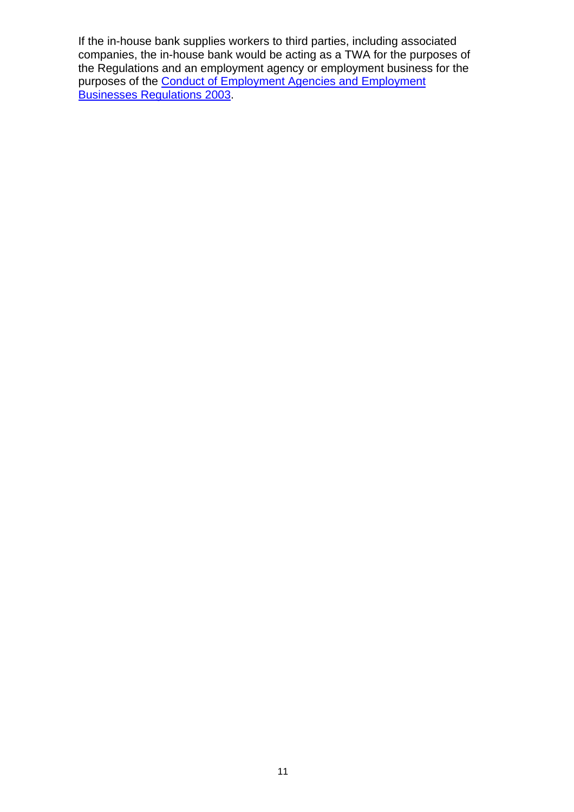If the in-house bank supplies workers to third parties, including associated companies, the in-house bank would be acting as a TWA for the purposes of the Regulations and an employment agency or employment business for the purposes of the [Conduct of Employment Agencies and Employment](http://www.businesslink.gov.uk/bdotg/action/layer?topicId=1081755778)  [Businesses Regulations 2003](http://www.businesslink.gov.uk/bdotg/action/layer?topicId=1081755778).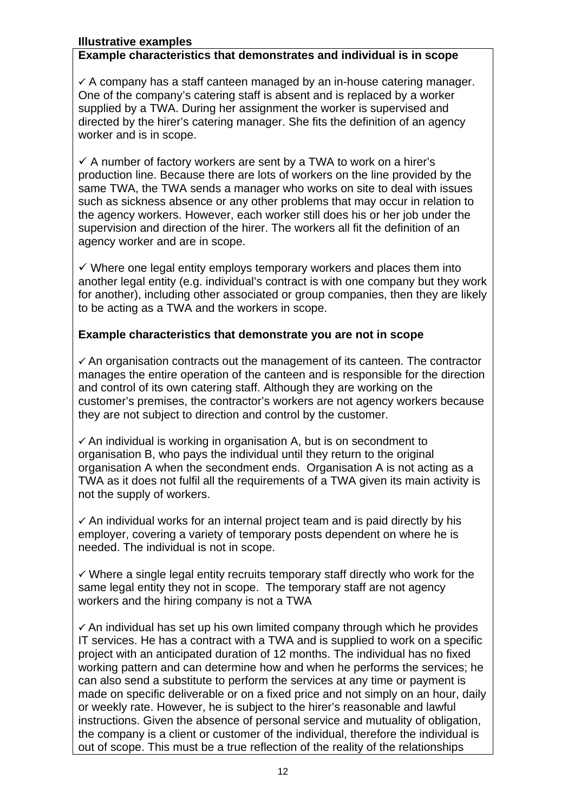#### **Illustrative examples**

#### **Example characteristics that demonstrates and individual is in scope**

 $\checkmark$  A company has a staff canteen managed by an in-house catering manager. One of the company's catering staff is absent and is replaced by a worker supplied by a TWA. During her assignment the worker is supervised and directed by the hirer's catering manager. She fits the definition of an agency worker and is in scope.

 $\checkmark$  A number of factory workers are sent by a TWA to work on a hirer's production line. Because there are lots of workers on the line provided by the same TWA, the TWA sends a manager who works on site to deal with issues such as sickness absence or any other problems that may occur in relation to the agency workers. However, each worker still does his or her job under the supervision and direction of the hirer. The workers all fit the definition of an agency worker and are in scope.

 $\checkmark$  Where one legal entity employs temporary workers and places them into another legal entity (e.g. individual's contract is with one company but they work for another), including other associated or group companies, then they are likely to be acting as a TWA and the workers in scope.

### **Example characteristics that demonstrate you are not in scope**

 $\checkmark$  An organisation contracts out the management of its canteen. The contractor manages the entire operation of the canteen and is responsible for the direction and control of its own catering staff. Although they are working on the customer's premises, the contractor's workers are not agency workers because they are not subject to direction and control by the customer.

 $\checkmark$  An individual is working in organisation A, but is on secondment to organisation B, who pays the individual until they return to the original organisation A when the secondment ends. Organisation A is not acting as a TWA as it does not fulfil all the requirements of a TWA given its main activity is not the supply of workers.

 $\checkmark$  An individual works for an internal project team and is paid directly by his employer, covering a variety of temporary posts dependent on where he is needed. The individual is not in scope.

 $\checkmark$  Where a single legal entity recruits temporary staff directly who work for the same legal entity they not in scope. The temporary staff are not agency workers and the hiring company is not a TWA

 $\checkmark$  An individual has set up his own limited company through which he provides IT services. He has a contract with a TWA and is supplied to work on a specific project with an anticipated duration of 12 months. The individual has no fixed working pattern and can determine how and when he performs the services; he can also send a substitute to perform the services at any time or payment is made on specific deliverable or on a fixed price and not simply on an hour, daily or weekly rate. However, he is subject to the hirer's reasonable and lawful instructions. Given the absence of personal service and mutuality of obligation, the company is a client or customer of the individual, therefore the individual is out of scope. This must be a true reflection of the reality of the relationships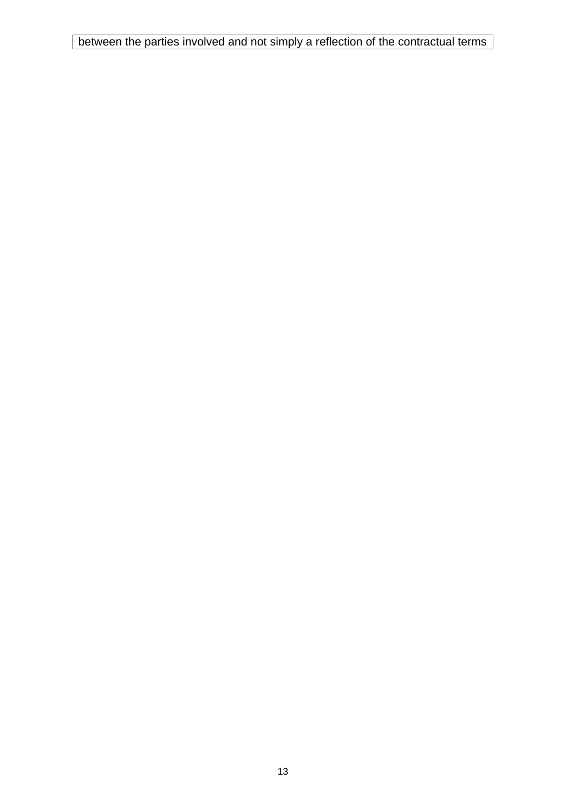between the parties involved and not simply a reflection of the contractual terms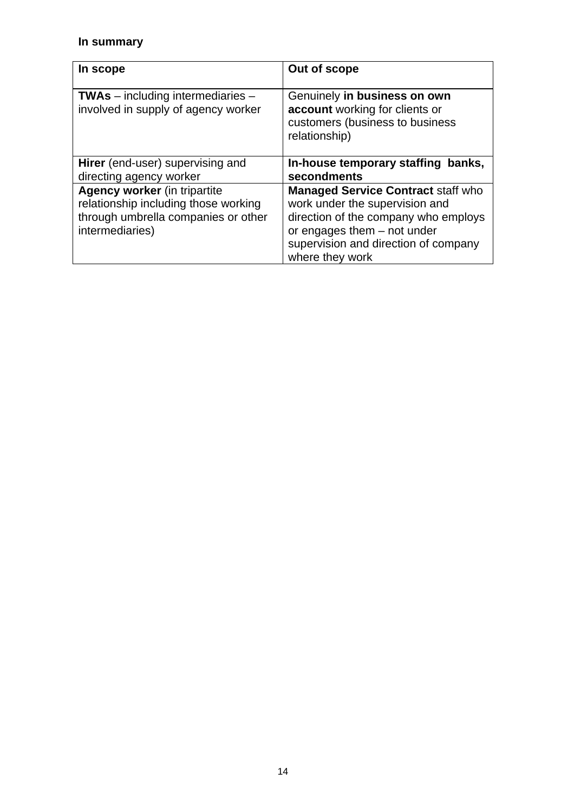## **In summary**

| In scope                                                                                                                              | Out of scope                                                                                                                                                                                                  |
|---------------------------------------------------------------------------------------------------------------------------------------|---------------------------------------------------------------------------------------------------------------------------------------------------------------------------------------------------------------|
| $TWAs$ – including intermediaries –<br>involved in supply of agency worker                                                            | Genuinely in business on own<br>account working for clients or<br>customers (business to business<br>relationship)                                                                                            |
| <b>Hirer</b> (end-user) supervising and<br>directing agency worker                                                                    | In-house temporary staffing banks,<br>secondments                                                                                                                                                             |
| <b>Agency worker (in tripartite</b><br>relationship including those working<br>through umbrella companies or other<br>intermediaries) | <b>Managed Service Contract staff who</b><br>work under the supervision and<br>direction of the company who employs<br>or engages them - not under<br>supervision and direction of company<br>where they work |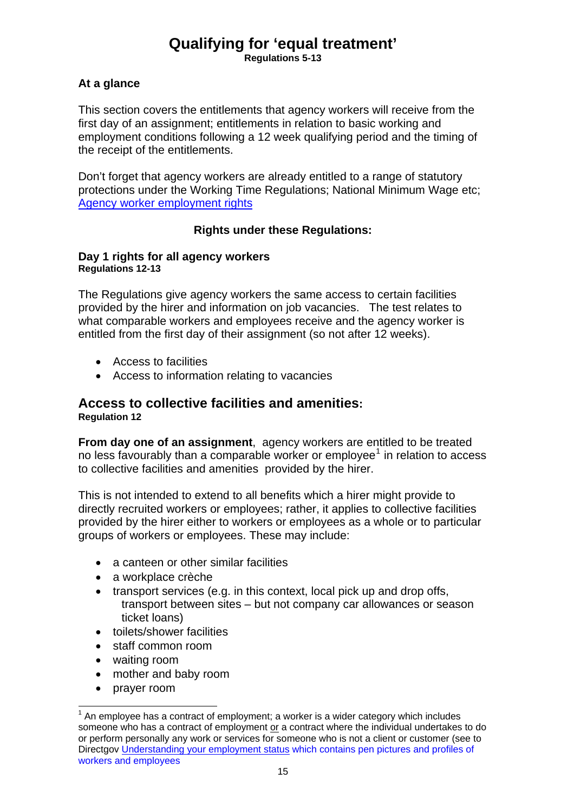# **Qualifying for 'equal treatment'**

**Regulations 5-13** 

### <span id="page-14-0"></span>**At a glance**

This section covers the entitlements that agency workers will receive from the first day of an assignment; entitlements in relation to basic working and employment conditions following a 12 week qualifying period and the timing of the receipt of the entitlements.

Don't forget that agency workers are already entitled to a range of statutory protections under the Working Time Regulations; National Minimum Wage etc; [Agency worker employment rights](http://www.direct.gov.uk/en/Employment/Understandingyourworkstatus/Agencyworkersandemploymentagencies/DG_173252)

### **Rights under these Regulations:**

#### **Day 1 rights for all agency workers Regulations 12-13**

The Regulations give agency workers the same access to certain facilities provided by the hirer and information on job vacancies. The test relates to what comparable workers and employees receive and the agency worker is entitled from the first day of their assignment (so not after 12 weeks).

- Access to facilities
- Access to information relating to vacancies

### **Access to collective facilities and amenities: Regulation 12**

**From day one of an assignment**, agency workers are entitled to be treated no less favourably than a comparable worker or employee $<sup>1</sup>$  $<sup>1</sup>$  $<sup>1</sup>$  in relation to access</sup> to collective facilities and amenities provided by the hirer.

This is not intended to extend to all benefits which a hirer might provide to directly recruited workers or employees; rather, it applies to collective facilities provided by the hirer either to workers or employees as a whole or to particular groups of workers or employees. These may include:

- a canteen or other similar facilities
- a workplace crèche
- transport services (e.g. in this context, local pick up and drop offs, transport between sites – but not company car allowances or season ticket loans)
- toilets/shower facilities
- staff common room
- waiting room
- mother and baby room
- prayer room

l

<span id="page-14-1"></span> $1$  An employee has a contract of employment; a worker is a wider category which includes someone who has a contract of employment or a contract where the individual undertakes to do or perform personally any work or services for someone who is not a client or customer (see to Directgov [Understanding your employment status](http://www.direct.gov.uk/en/Employment/Understandingyourworkstatus/index.htm) which contains pen pictures and profiles of workers and employees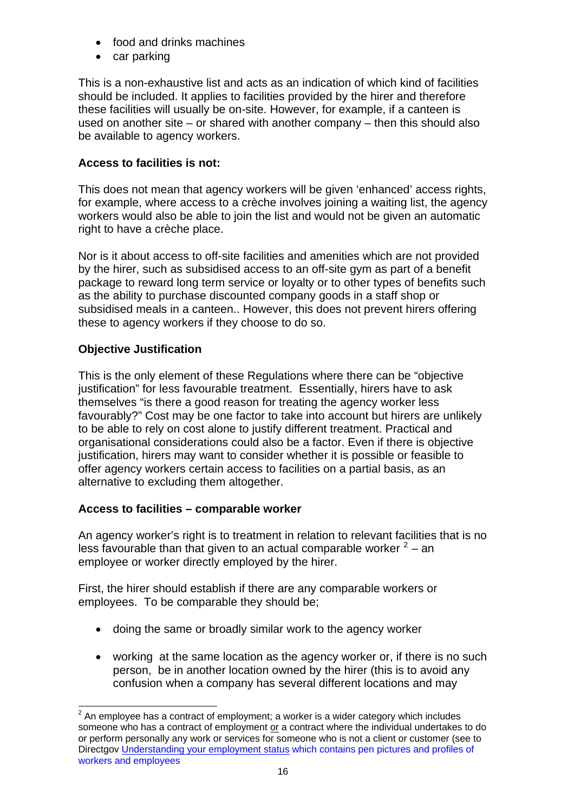- food and drinks machines
- car parking

This is a non-exhaustive list and acts as an indication of which kind of facilities should be included. It applies to facilities provided by the hirer and therefore these facilities will usually be on-site. However, for example, if a canteen is used on another site – or shared with another company – then this should also be available to agency workers.

## **Access to facilities is not:**

This does not mean that agency workers will be given 'enhanced' access rights, for example, where access to a crèche involves joining a waiting list, the agency workers would also be able to join the list and would not be given an automatic right to have a crèche place.

Nor is it about access to off-site facilities and amenities which are not provided by the hirer, such as subsidised access to an off-site gym as part of a benefit package to reward long term service or loyalty or to other types of benefits such as the ability to purchase discounted company goods in a staff shop or subsidised meals in a canteen.. However, this does not prevent hirers offering these to agency workers if they choose to do so.

## **Objective Justification**

l

This is the only element of these Regulations where there can be "objective justification" for less favourable treatment. Essentially, hirers have to ask themselves "is there a good reason for treating the agency worker less favourably?" Cost may be one factor to take into account but hirers are unlikely to be able to rely on cost alone to justify different treatment. Practical and organisational considerations could also be a factor. Even if there is objective justification, hirers may want to consider whether it is possible or feasible to offer agency workers certain access to facilities on a partial basis, as an alternative to excluding them altogether.

## **Access to facilities – comparable worker**

employee or worker directly employed by the hirer. An agency worker's right is to treatment in relation to relevant facilities that is no less favourable than that given to an actual comparable worker  $2 2 -$  an

First, the hirer should establish if there are any comparable workers or employees. To be comparable they should be;

- doing the same or broadly similar work to the agency worker
- working at the same location as the agency worker or, if there is no such person, be in another location owned by the hirer (this is to avoid any confusion when a company has several different locations and may

<span id="page-15-0"></span> $2$  An employee has a contract of employment; a worker is a wider category which includes someone who has a contract of employment or a contract where the individual undertakes to do or perform personally any work or services for someone who is not a client or customer (see to Directgov [Understanding your employment status](http://www.direct.gov.uk/en/Employment/Understandingyourworkstatus/index.htm) which contains pen pictures and profiles of workers and employees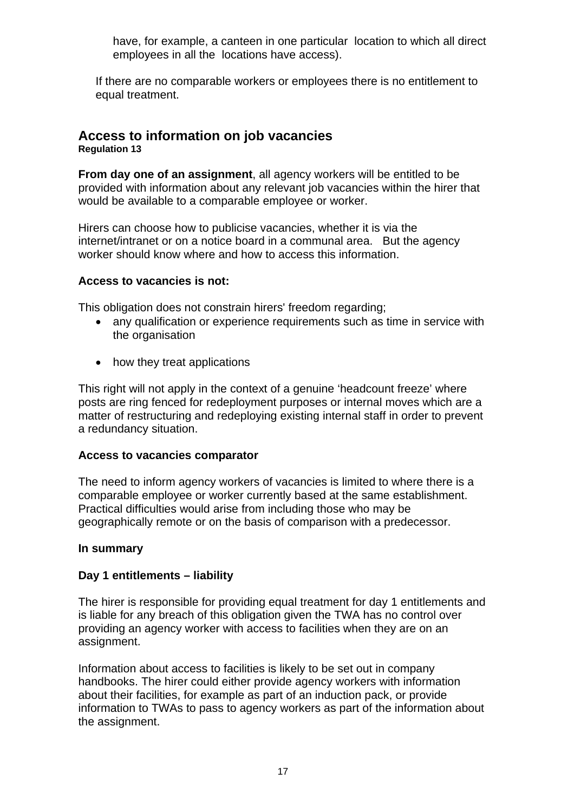<span id="page-16-0"></span>have, for example, a canteen in one particular location to which all direct employees in all the locations have access).

If there are no comparable workers or employees there is no entitlement to equal treatment.

#### **Access to information on job vacancies Regulation 13**

**From day one of an assignment**, all agency workers will be entitled to be provided with information about any relevant job vacancies within the hirer that would be available to a comparable employee or worker.

Hirers can choose how to publicise vacancies, whether it is via the internet/intranet or on a notice board in a communal area. But the agency worker should know where and how to access this information.

### **Access to vacancies is not:**

This obligation does not constrain hirers' freedom regarding;

- any qualification or experience requirements such as time in service with the organisation
- how they treat applications

This right will not apply in the context of a genuine 'headcount freeze' where posts are ring fenced for redeployment purposes or internal moves which are a matter of restructuring and redeploying existing internal staff in order to prevent a redundancy situation.

### **Access to vacancies comparator**

The need to inform agency workers of vacancies is limited to where there is a comparable employee or worker currently based at the same establishment. Practical difficulties would arise from including those who may be geographically remote or on the basis of comparison with a predecessor.

### **In summary**

### **Day 1 entitlements – liability**

The hirer is responsible for providing equal treatment for day 1 entitlements and is liable for any breach of this obligation given the TWA has no control over providing an agency worker with access to facilities when they are on an assignment.

Information about access to facilities is likely to be set out in company handbooks. The hirer could either provide agency workers with information about their facilities, for example as part of an induction pack, or provide information to TWAs to pass to agency workers as part of the information about the assignment.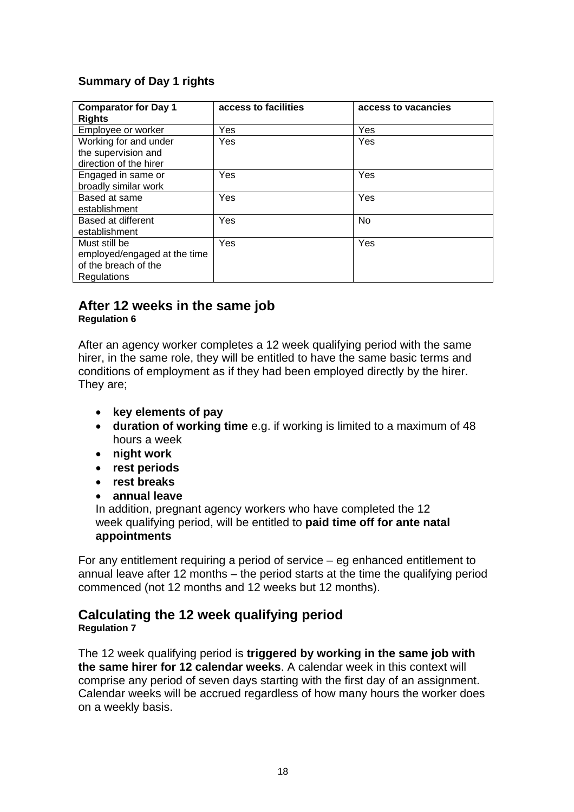## <span id="page-17-0"></span>**Summary of Day 1 rights**

| <b>Comparator for Day 1</b><br><b>Rights</b>                                         | access to facilities | access to vacancies |
|--------------------------------------------------------------------------------------|----------------------|---------------------|
| Employee or worker                                                                   | Yes                  | Yes                 |
| Working for and under<br>the supervision and<br>direction of the hirer               | Yes                  | Yes                 |
| Engaged in same or<br>broadly similar work                                           | Yes                  | Yes                 |
| Based at same<br>establishment                                                       | Yes                  | Yes                 |
| Based at different<br>establishment                                                  | Yes                  | No                  |
| Must still be<br>employed/engaged at the time<br>of the breach of the<br>Regulations | Yes                  | Yes                 |

### **After 12 weeks in the same job Regulation 6**

After an agency worker completes a 12 week qualifying period with the same hirer, in the same role, they will be entitled to have the same basic terms and conditions of employment as if they had been employed directly by the hirer. They are;

- **key elements of pay**
- **duration of working time** e.g. if working is limited to a maximum of 48 hours a week
- **night work**
- **rest periods**
- **rest breaks**
- **annual leave**

In addition, pregnant agency workers who have completed the 12 week qualifying period, will be entitled to **paid time off for ante natal appointments** 

For any entitlement requiring a period of service – eg enhanced entitlement to annual leave after 12 months – the period starts at the time the qualifying period commenced (not 12 months and 12 weeks but 12 months).

# **Calculating the 12 week qualifying period**

#### **Regulation 7**

The 12 week qualifying period is **triggered by working in the same job with the same hirer for 12 calendar weeks**. A calendar week in this context will comprise any period of seven days starting with the first day of an assignment. Calendar weeks will be accrued regardless of how many hours the worker does on a weekly basis.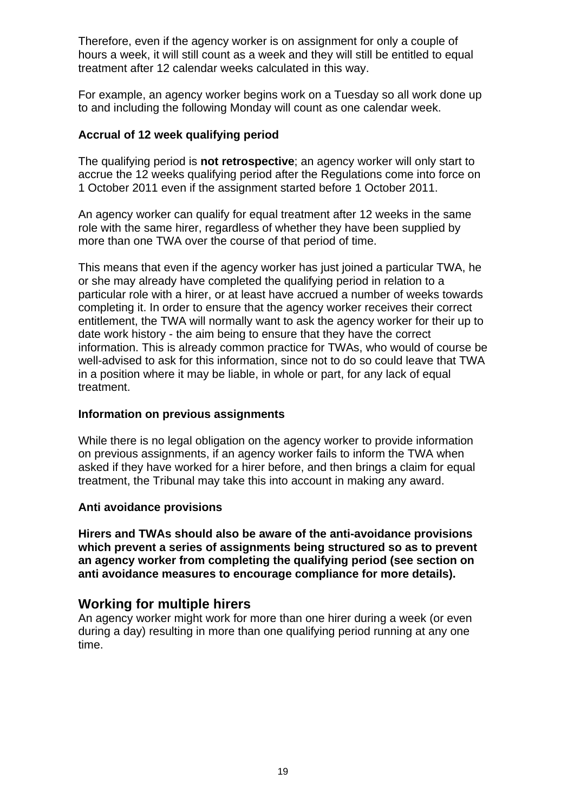<span id="page-18-0"></span>Therefore, even if the agency worker is on assignment for only a couple of hours a week, it will still count as a week and they will still be entitled to equal treatment after 12 calendar weeks calculated in this way.

For example, an agency worker begins work on a Tuesday so all work done up to and including the following Monday will count as one calendar week.

### **Accrual of 12 week qualifying period**

The qualifying period is **not retrospective**; an agency worker will only start to accrue the 12 weeks qualifying period after the Regulations come into force on 1 October 2011 even if the assignment started before 1 October 2011.

An agency worker can qualify for equal treatment after 12 weeks in the same role with the same hirer, regardless of whether they have been supplied by more than one TWA over the course of that period of time.

This means that even if the agency worker has just joined a particular TWA, he or she may already have completed the qualifying period in relation to a particular role with a hirer, or at least have accrued a number of weeks towards completing it. In order to ensure that the agency worker receives their correct entitlement, the TWA will normally want to ask the agency worker for their up to date work history - the aim being to ensure that they have the correct information. This is already common practice for TWAs, who would of course be well-advised to ask for this information, since not to do so could leave that TWA in a position where it may be liable, in whole or part, for any lack of equal treatment.

### **Information on previous assignments**

While there is no legal obligation on the agency worker to provide information on previous assignments, if an agency worker fails to inform the TWA when asked if they have worked for a hirer before, and then brings a claim for equal treatment, the Tribunal may take this into account in making any award.

### **Anti avoidance provisions**

**Hirers and TWAs should also be aware of the anti-avoidance provisions which prevent a series of assignments being structured so as to prevent an agency worker from completing the qualifying period (see section on anti avoidance measures to encourage compliance for more details).**

## **Working for multiple hirers**

An agency worker might work for more than one hirer during a week (or even during a day) resulting in more than one qualifying period running at any one time.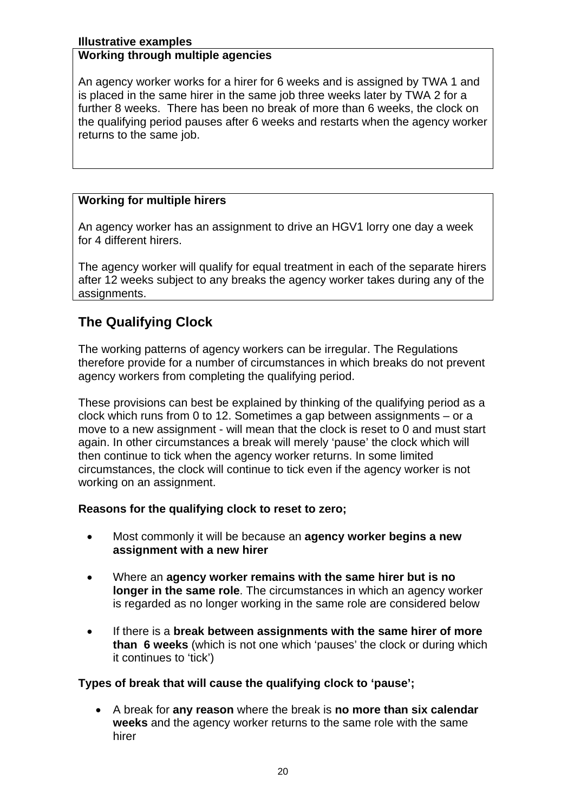#### <span id="page-19-0"></span>**Illustrative examples**

#### **Working through multiple agencies**

An agency worker works for a hirer for 6 weeks and is assigned by TWA 1 and is placed in the same hirer in the same job three weeks later by TWA 2 for a further 8 weeks. There has been no break of more than 6 weeks, the clock on the qualifying period pauses after 6 weeks and restarts when the agency worker returns to the same job.

### **Working for multiple hirers**

An agency worker has an assignment to drive an HGV1 lorry one day a week for 4 different hirers.

The agency worker will qualify for equal treatment in each of the separate hirers after 12 weeks subject to any breaks the agency worker takes during any of the assignments.

## **The Qualifying Clock**

The working patterns of agency workers can be irregular. The Regulations therefore provide for a number of circumstances in which breaks do not prevent agency workers from completing the qualifying period.

These provisions can best be explained by thinking of the qualifying period as a clock which runs from 0 to 12. Sometimes a gap between assignments – or a move to a new assignment - will mean that the clock is reset to 0 and must start again. In other circumstances a break will merely 'pause' the clock which will then continue to tick when the agency worker returns. In some limited circumstances, the clock will continue to tick even if the agency worker is not working on an assignment.

### **Reasons for the qualifying clock to reset to zero;**

- Most commonly it will be because an **agency worker begins a new assignment with a new hirer**
- Where an **agency worker remains with the same hirer but is no longer in the same role**. The circumstances in which an agency worker is regarded as no longer working in the same role are considered below
- If there is a **break between assignments with the same hirer of more than 6 weeks** (which is not one which 'pauses' the clock or during which it continues to 'tick')

### **Types of break that will cause the qualifying clock to 'pause';**

• A break for **any reason** where the break is **no more than six calendar weeks** and the agency worker returns to the same role with the same hirer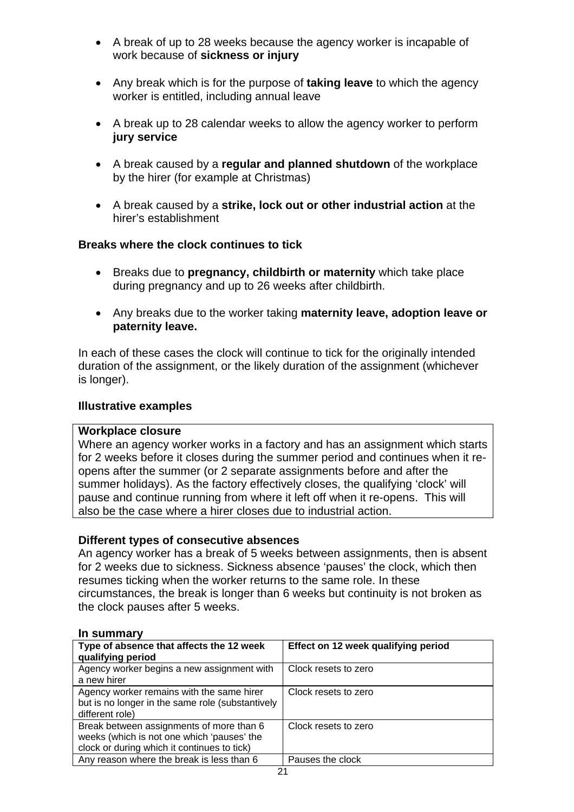- A break of up to 28 weeks because the agency worker is incapable of work because of **sickness or injury**
- Any break which is for the purpose of **taking leave** to which the agency worker is entitled, including annual leave
- A break up to 28 calendar weeks to allow the agency worker to perform **jury service**
- A break caused by a **regular and planned shutdown** of the workplace by the hirer (for example at Christmas)
- A break caused by a **strike, lock out or other industrial action** at the hirer's establishment

### **Breaks where the clock continues to tick**

- Breaks due to **pregnancy, childbirth or maternity** which take place during pregnancy and up to 26 weeks after childbirth.
- Any breaks due to the worker taking **maternity leave, adoption leave or paternity leave.**

In each of these cases the clock will continue to tick for the originally intended duration of the assignment, or the likely duration of the assignment (whichever is longer).

### **Illustrative examples**

### **Workplace closure**

Where an agency worker works in a factory and has an assignment which starts for 2 weeks before it closes during the summer period and continues when it reopens after the summer (or 2 separate assignments before and after the summer holidays). As the factory effectively closes, the qualifying 'clock' will pause and continue running from where it left off when it re-opens. This will also be the case where a hirer closes due to industrial action.

### **Different types of consecutive absences**

An agency worker has a break of 5 weeks between assignments, then is absent for 2 weeks due to sickness. Sickness absence 'pauses' the clock, which then resumes ticking when the worker returns to the same role. In these circumstances, the break is longer than 6 weeks but continuity is not broken as the clock pauses after 5 weeks.

#### **In summary**

| Type of absence that affects the 12 week<br>qualifying period                                                                         | Effect on 12 week qualifying period |
|---------------------------------------------------------------------------------------------------------------------------------------|-------------------------------------|
| Agency worker begins a new assignment with<br>a new hirer                                                                             | Clock resets to zero                |
| Agency worker remains with the same hirer<br>but is no longer in the same role (substantively<br>different role)                      | Clock resets to zero                |
| Break between assignments of more than 6<br>weeks (which is not one which 'pauses' the<br>clock or during which it continues to tick) | Clock resets to zero                |
| Any reason where the break is less than 6                                                                                             | Pauses the clock                    |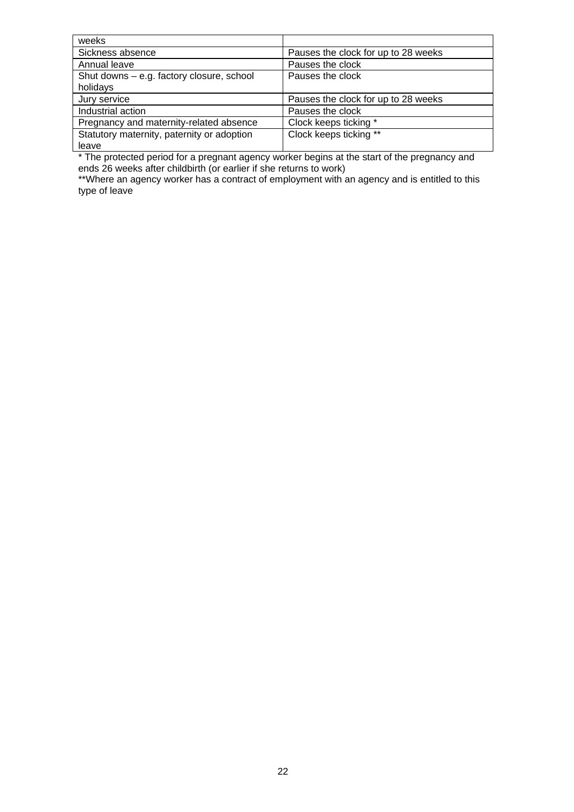| weeks                                      |                                     |
|--------------------------------------------|-------------------------------------|
| Sickness absence                           | Pauses the clock for up to 28 weeks |
| Annual leave                               | Pauses the clock                    |
| Shut downs - e.g. factory closure, school  | Pauses the clock                    |
| holidays                                   |                                     |
| Jury service                               | Pauses the clock for up to 28 weeks |
| Industrial action                          | Pauses the clock                    |
| Pregnancy and maternity-related absence    | Clock keeps ticking *               |
| Statutory maternity, paternity or adoption | Clock keeps ticking **              |
| leave                                      |                                     |

\* The protected period for a pregnant agency worker begins at the start of the pregnancy and ends 26 weeks after childbirth (or earlier if she returns to work)

\*\*Where an agency worker has a contract of employment with an agency and is entitled to this type of leave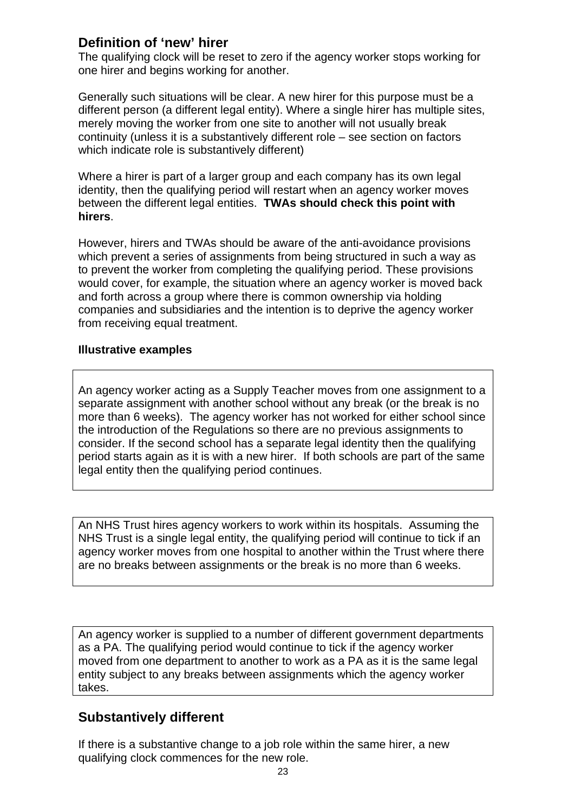## <span id="page-22-0"></span>**Definition of 'new' hirer**

The qualifying clock will be reset to zero if the agency worker stops working for one hirer and begins working for another.

Generally such situations will be clear. A new hirer for this purpose must be a different person (a different legal entity). Where a single hirer has multiple sites, merely moving the worker from one site to another will not usually break continuity (unless it is a substantively different role – see section on factors which indicate role is substantively different)

Where a hirer is part of a larger group and each company has its own legal identity, then the qualifying period will restart when an agency worker moves between the different legal entities. **TWAs should check this point with hirers**.

However, hirers and TWAs should be aware of the anti-avoidance provisions which prevent a series of assignments from being structured in such a way as to prevent the worker from completing the qualifying period. These provisions would cover, for example, the situation where an agency worker is moved back and forth across a group where there is common ownership via holding companies and subsidiaries and the intention is to deprive the agency worker from receiving equal treatment.

### **Illustrative examples**

An agency worker acting as a Supply Teacher moves from one assignment to a separate assignment with another school without any break (or the break is no more than 6 weeks). The agency worker has not worked for either school since the introduction of the Regulations so there are no previous assignments to consider. If the second school has a separate legal identity then the qualifying period starts again as it is with a new hirer. If both schools are part of the same legal entity then the qualifying period continues.

An NHS Trust hires agency workers to work within its hospitals. Assuming the NHS Trust is a single legal entity, the qualifying period will continue to tick if an agency worker moves from one hospital to another within the Trust where there are no breaks between assignments or the break is no more than 6 weeks.

An agency worker is supplied to a number of different government departments as a PA. The qualifying period would continue to tick if the agency worker moved from one department to another to work as a PA as it is the same legal entity subject to any breaks between assignments which the agency worker takes.

## **Substantively different**

If there is a substantive change to a job role within the same hirer, a new qualifying clock commences for the new role.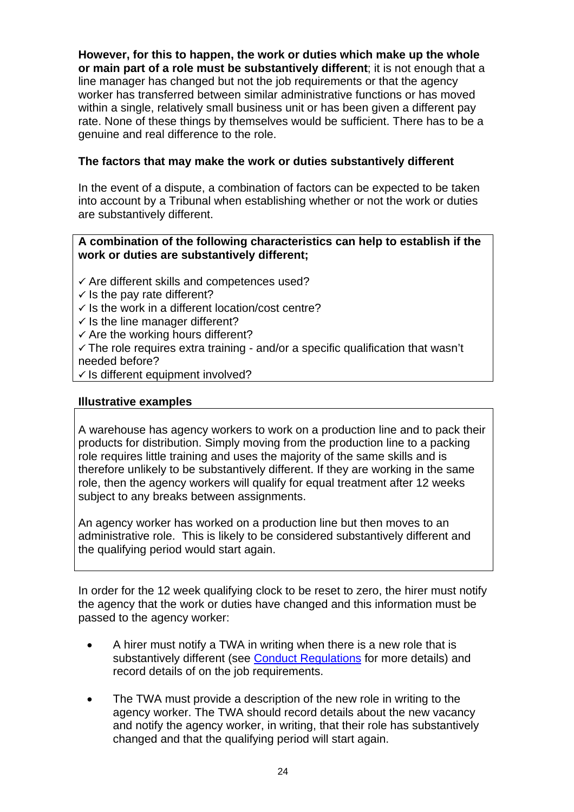**However, for this to happen, the work or duties which make up the whole or main part of a role must be substantively different**; it is not enough that a line manager has changed but not the job requirements or that the agency worker has transferred between similar administrative functions or has moved within a single, relatively small business unit or has been given a different pay rate. None of these things by themselves would be sufficient. There has to be a genuine and real difference to the role.

### **The factors that may make the work or duties substantively different**

In the event of a dispute, a combination of factors can be expected to be taken into account by a Tribunal when establishing whether or not the work or duties are substantively different.

#### **A combination of the following characteristics can help to establish if the work or duties are substantively different;**

- $\checkmark$  Are different skills and competences used?
- $\checkmark$  Is the pay rate different?
- $\checkmark$  Is the work in a different location/cost centre?
- $\checkmark$  is the line manager different?
- $\checkmark$  Are the working hours different?
- $\checkmark$  The role requires extra training and/or a specific qualification that wasn't needed before?
- $\checkmark$  Is different equipment involved?

#### **Illustrative examples**

A warehouse has agency workers to work on a production line and to pack their products for distribution. Simply moving from the production line to a packing role requires little training and uses the majority of the same skills and is therefore unlikely to be substantively different. If they are working in the same role, then the agency workers will qualify for equal treatment after 12 weeks subject to any breaks between assignments.

An agency worker has worked on a production line but then moves to an administrative role. This is likely to be considered substantively different and the qualifying period would start again.

In order for the 12 week qualifying clock to be reset to zero, the hirer must notify the agency that the work or duties have changed and this information must be passed to the agency worker:

- A hirer must notify a TWA in writing when there is a new role that is substantively different (see [Conduct Regulations](http://www.businesslink.gov.uk/bdotg/action/layer?topicId=1081755778) for more details) and record details of on the job requirements.
- The TWA must provide a description of the new role in writing to the agency worker. The TWA should record details about the new vacancy and notify the agency worker, in writing, that their role has substantively changed and that the qualifying period will start again.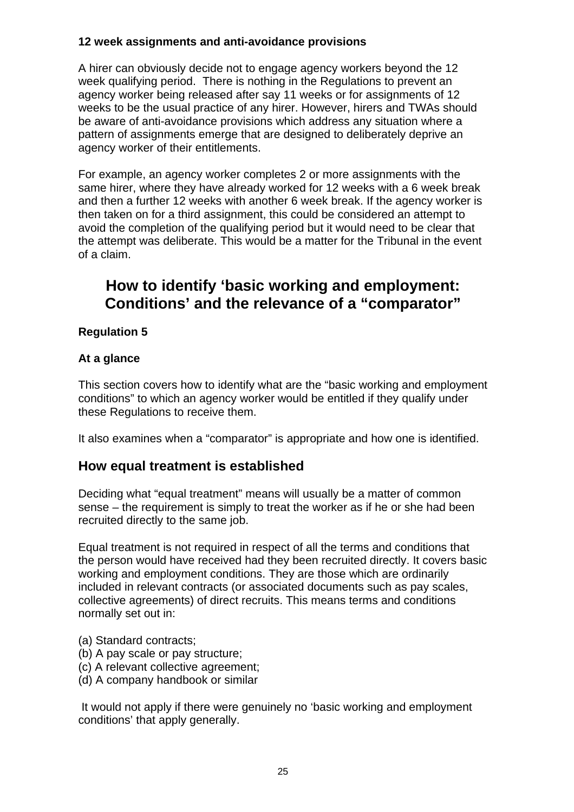### <span id="page-24-0"></span>**12 week assignments and anti-avoidance provisions**

A hirer can obviously decide not to engage agency workers beyond the 12 week qualifying period. There is nothing in the Regulations to prevent an agency worker being released after say 11 weeks or for assignments of 12 weeks to be the usual practice of any hirer. However, hirers and TWAs should be aware of anti-avoidance provisions which address any situation where a pattern of assignments emerge that are designed to deliberately deprive an agency worker of their entitlements.

For example, an agency worker completes 2 or more assignments with the same hirer, where they have already worked for 12 weeks with a 6 week break and then a further 12 weeks with another 6 week break. If the agency worker is then taken on for a third assignment, this could be considered an attempt to avoid the completion of the qualifying period but it would need to be clear that the attempt was deliberate. This would be a matter for the Tribunal in the event of a claim.

# **How to identify 'basic working and employment: Conditions' and the relevance of a "comparator"**

## **Regulation 5**

### **At a glance**

This section covers how to identify what are the "basic working and employment conditions" to which an agency worker would be entitled if they qualify under these Regulations to receive them.

It also examines when a "comparator" is appropriate and how one is identified.

## **How equal treatment is established**

Deciding what "equal treatment" means will usually be a matter of common sense – the requirement is simply to treat the worker as if he or she had been recruited directly to the same job.

Equal treatment is not required in respect of all the terms and conditions that the person would have received had they been recruited directly. It covers basic working and employment conditions. They are those which are ordinarily included in relevant contracts (or associated documents such as pay scales, collective agreements) of direct recruits. This means terms and conditions normally set out in:

- (a) Standard contracts;
- (b) A pay scale or pay structure;
- (c) A relevant collective agreement;
- (d) A company handbook or similar

 It would not apply if there were genuinely no 'basic working and employment conditions' that apply generally.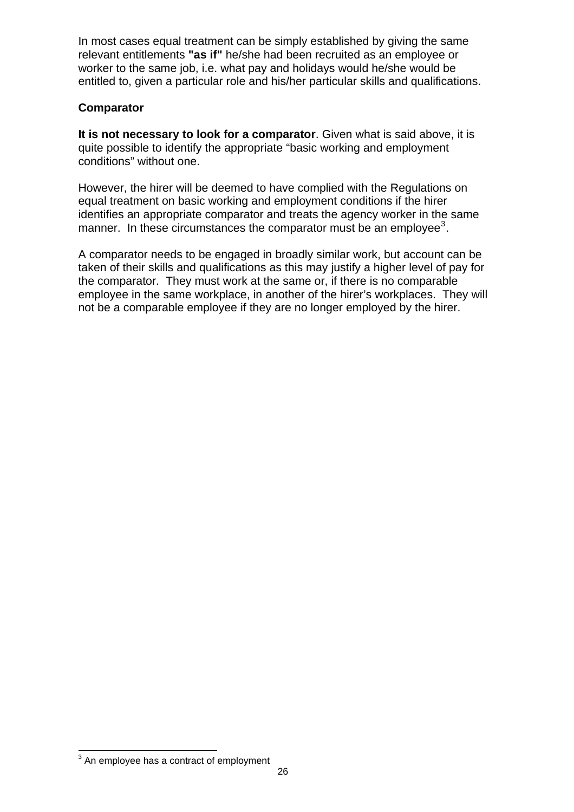In most cases equal treatment can be simply established by giving the same relevant entitlements **"as if"** he/she had been recruited as an employee or worker to the same job, i.e. what pay and holidays would he/she would be entitled to, given a particular role and his/her particular skills and qualifications.

### **Comparator**

**It is not necessary to look for a comparator**. Given what is said above, it is quite possible to identify the appropriate "basic working and employment conditions" without one.

However, the hirer will be deemed to have complied with the Regulations on equal treatment on basic working and employment conditions if the hirer identifies an appropriate comparator and treats the agency worker in the same manner. In these circumstances the comparator must be an employee<sup>[3](#page-25-0)</sup>.

A comparator needs to be engaged in broadly similar work, but account can be taken of their skills and qualifications as this may justify a higher level of pay for the comparator. They must work at the same or, if there is no comparable employee in the same workplace, in another of the hirer's workplaces. They will not be a comparable employee if they are no longer employed by the hirer.

<span id="page-25-0"></span>**EXECUTE:**<br><sup>3</sup> An employee has a contract of employment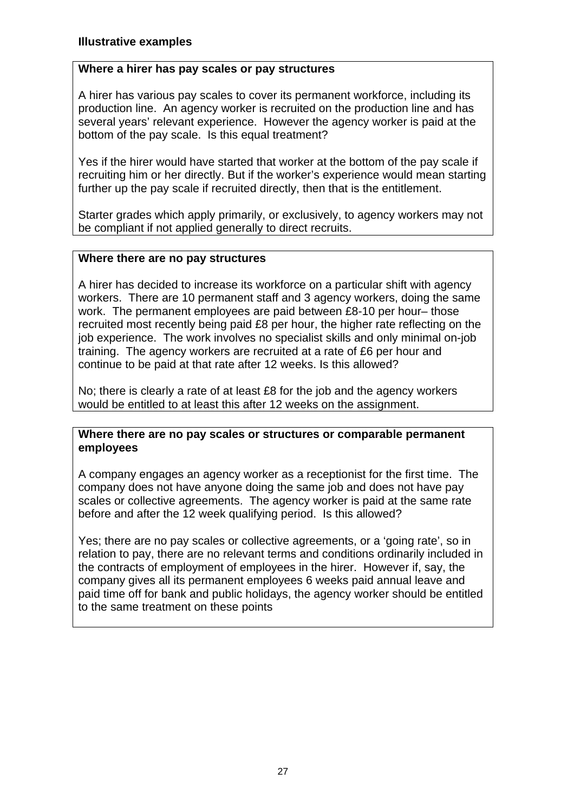### **Where a hirer has pay scales or pay structures**

A hirer has various pay scales to cover its permanent workforce, including its production line. An agency worker is recruited on the production line and has several years' relevant experience. However the agency worker is paid at the bottom of the pay scale. Is this equal treatment?

Yes if the hirer would have started that worker at the bottom of the pay scale if recruiting him or her directly. But if the worker's experience would mean starting further up the pay scale if recruited directly, then that is the entitlement.

Starter grades which apply primarily, or exclusively, to agency workers may not be compliant if not applied generally to direct recruits.

### **Where there are no pay structures**

A hirer has decided to increase its workforce on a particular shift with agency workers. There are 10 permanent staff and 3 agency workers, doing the same work. The permanent employees are paid between £8-10 per hour– those recruited most recently being paid £8 per hour, the higher rate reflecting on the job experience. The work involves no specialist skills and only minimal on-job training. The agency workers are recruited at a rate of £6 per hour and continue to be paid at that rate after 12 weeks. Is this allowed?

No; there is clearly a rate of at least £8 for the job and the agency workers would be entitled to at least this after 12 weeks on the assignment.

### **Where there are no pay scales or structures or comparable permanent employees**

A company engages an agency worker as a receptionist for the first time. The company does not have anyone doing the same job and does not have pay scales or collective agreements. The agency worker is paid at the same rate before and after the 12 week qualifying period. Is this allowed?

Yes; there are no pay scales or collective agreements, or a 'going rate', so in relation to pay, there are no relevant terms and conditions ordinarily included in the contracts of employment of employees in the hirer. However if, say, the company gives all its permanent employees 6 weeks paid annual leave and paid time off for bank and public holidays, the agency worker should be entitled to the same treatment on these points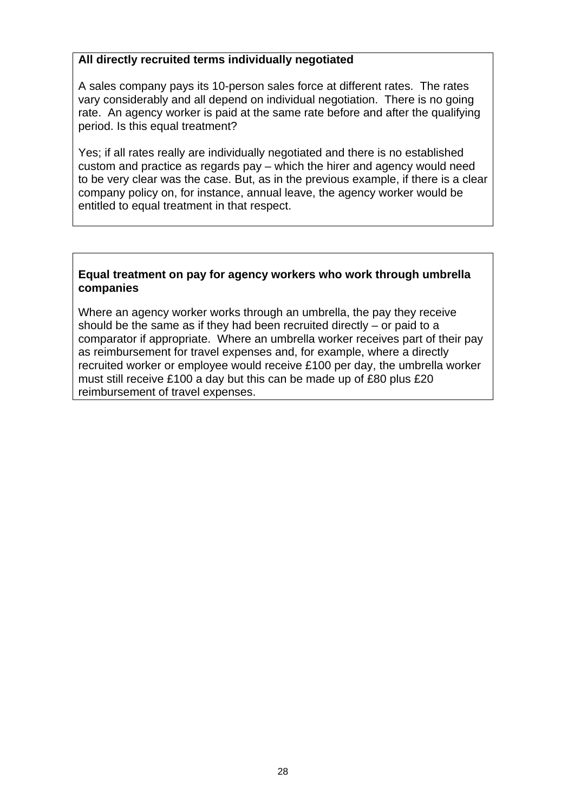### **All directly recruited terms individually negotiated**

A sales company pays its 10-person sales force at different rates. The rates vary considerably and all depend on individual negotiation. There is no going rate. An agency worker is paid at the same rate before and after the qualifying period. Is this equal treatment?

Yes; if all rates really are individually negotiated and there is no established custom and practice as regards pay – which the hirer and agency would need to be very clear was the case. But, as in the previous example, if there is a clear company policy on, for instance, annual leave, the agency worker would be entitled to equal treatment in that respect.

### **Equal treatment on pay for agency workers who work through umbrella companies**

Where an agency worker works through an umbrella, the pay they receive should be the same as if they had been recruited directly – or paid to a comparator if appropriate. Where an umbrella worker receives part of their pay as reimbursement for travel expenses and, for example, where a directly recruited worker or employee would receive £100 per day, the umbrella worker must still receive £100 a day but this can be made up of £80 plus £20 reimbursement of travel expenses.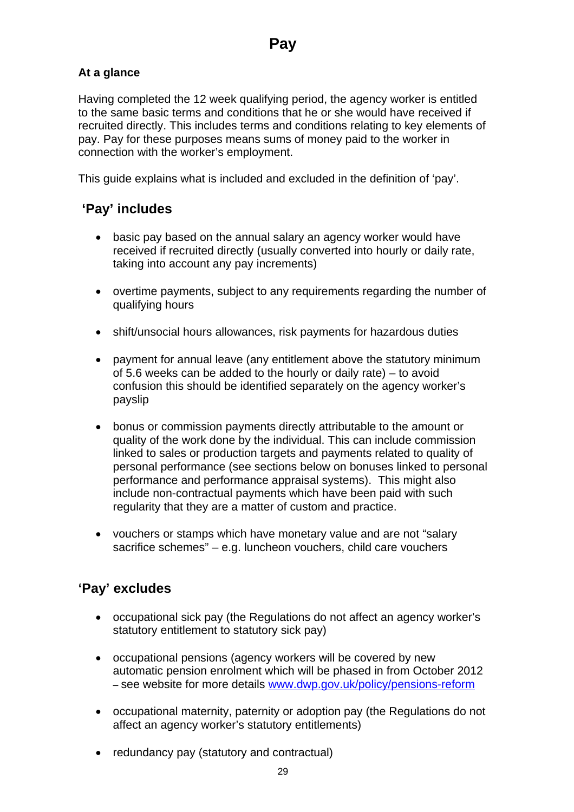## <span id="page-28-0"></span>**At a glance**

Having completed the 12 week qualifying period, the agency worker is entitled to the same basic terms and conditions that he or she would have received if recruited directly. This includes terms and conditions relating to key elements of pay. Pay for these purposes means sums of money paid to the worker in connection with the worker's employment.

This guide explains what is included and excluded in the definition of 'pay'.

## **'Pay' includes**

- basic pay based on the annual salary an agency worker would have received if recruited directly (usually converted into hourly or daily rate, taking into account any pay increments)
- overtime payments, subject to any requirements regarding the number of qualifying hours
- shift/unsocial hours allowances, risk payments for hazardous duties
- payment for annual leave (any entitlement above the statutory minimum of 5.6 weeks can be added to the hourly or daily rate) – to avoid confusion this should be identified separately on the agency worker's payslip
- bonus or commission payments directly attributable to the amount or quality of the work done by the individual. This can include commission linked to sales or production targets and payments related to quality of personal performance (see sections below on bonuses linked to personal performance and performance appraisal systems). This might also include non-contractual payments which have been paid with such regularity that they are a matter of custom and practice.
- vouchers or stamps which have monetary value and are not "salary sacrifice schemes" – e.g. luncheon vouchers, child care vouchers

## **'Pay' excludes**

- occupational sick pay (the Regulations do not affect an agency worker's statutory entitlement to statutory sick pay)
- occupational pensions (agency workers will be covered by new automatic pension enrolment which will be phased in from October 2012 – see website for more details [www.dwp.gov.uk/policy/pensions-reform](http://www.dwp.gov.uk/policy/pensions%2Dreform/workplace%2Dpension%2Dreforms/automatic%2Denrolment/)
- occupational maternity, paternity or adoption pay (the Regulations do not affect an agency worker's statutory entitlements)
- redundancy pay (statutory and contractual)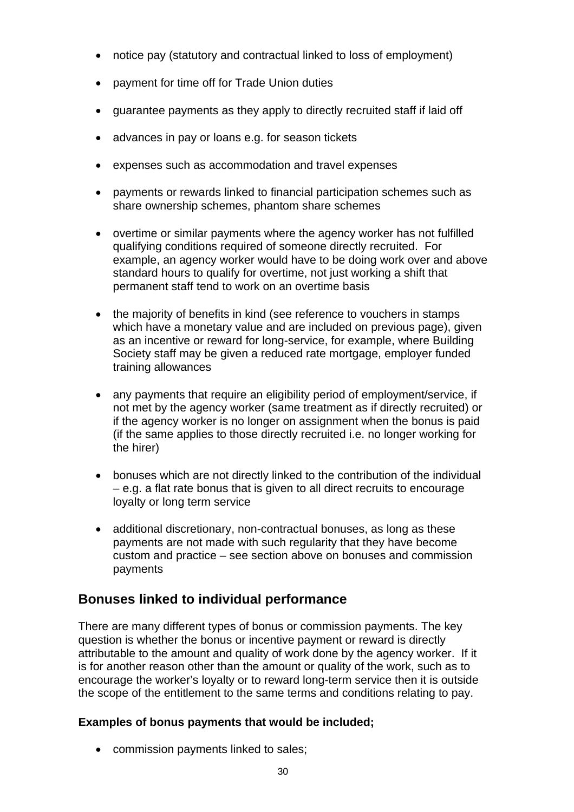- <span id="page-29-0"></span>• notice pay (statutory and contractual linked to loss of employment)
- payment for time off for Trade Union duties
- guarantee payments as they apply to directly recruited staff if laid off
- advances in pay or loans e.g. for season tickets
- expenses such as accommodation and travel expenses
- payments or rewards linked to financial participation schemes such as share ownership schemes, phantom share schemes
- overtime or similar payments where the agency worker has not fulfilled qualifying conditions required of someone directly recruited. For example, an agency worker would have to be doing work over and above standard hours to qualify for overtime, not just working a shift that permanent staff tend to work on an overtime basis
- the majority of benefits in kind (see reference to vouchers in stamps) which have a monetary value and are included on previous page), given as an incentive or reward for long-service, for example, where Building Society staff may be given a reduced rate mortgage, employer funded training allowances
- any payments that require an eligibility period of employment/service, if not met by the agency worker (same treatment as if directly recruited) or if the agency worker is no longer on assignment when the bonus is paid (if the same applies to those directly recruited i.e. no longer working for the hirer)
- bonuses which are not directly linked to the contribution of the individual – e.g. a flat rate bonus that is given to all direct recruits to encourage loyalty or long term service
- additional discretionary, non-contractual bonuses, as long as these payments are not made with such regularity that they have become custom and practice – see section above on bonuses and commission payments

## **Bonuses linked to individual performance**

There are many different types of bonus or commission payments. The key question is whether the bonus or incentive payment or reward is directly attributable to the amount and quality of work done by the agency worker. If it is for another reason other than the amount or quality of the work, such as to encourage the worker's loyalty or to reward long-term service then it is outside the scope of the entitlement to the same terms and conditions relating to pay.

## **Examples of bonus payments that would be included;**

• commission payments linked to sales;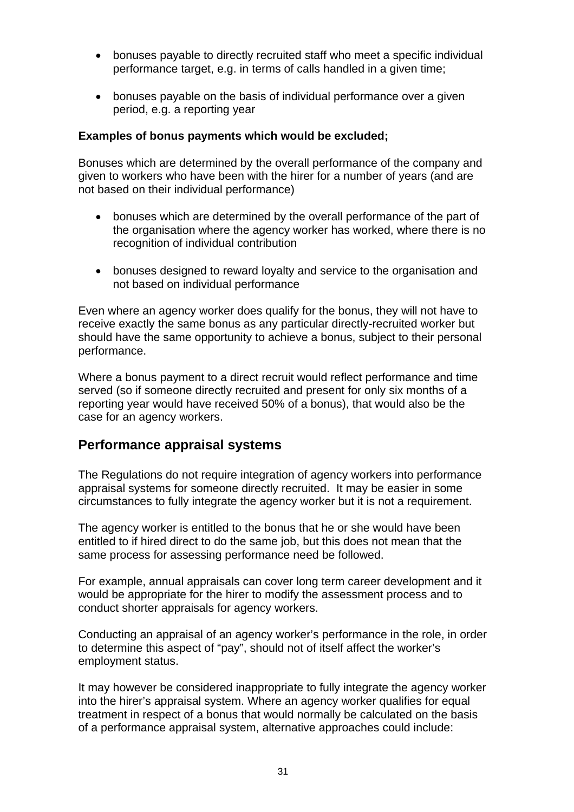- <span id="page-30-0"></span>• bonuses payable to directly recruited staff who meet a specific individual performance target, e.g. in terms of calls handled in a given time;
- bonuses payable on the basis of individual performance over a given period, e.g. a reporting year

### **Examples of bonus payments which would be excluded;**

Bonuses which are determined by the overall performance of the company and given to workers who have been with the hirer for a number of years (and are not based on their individual performance)

- bonuses which are determined by the overall performance of the part of the organisation where the agency worker has worked, where there is no recognition of individual contribution
- bonuses designed to reward loyalty and service to the organisation and not based on individual performance

Even where an agency worker does qualify for the bonus, they will not have to receive exactly the same bonus as any particular directly-recruited worker but should have the same opportunity to achieve a bonus, subject to their personal performance.

Where a bonus payment to a direct recruit would reflect performance and time served (so if someone directly recruited and present for only six months of a reporting year would have received 50% of a bonus), that would also be the case for an agency workers.

## **Performance appraisal systems**

The Regulations do not require integration of agency workers into performance appraisal systems for someone directly recruited. It may be easier in some circumstances to fully integrate the agency worker but it is not a requirement.

The agency worker is entitled to the bonus that he or she would have been entitled to if hired direct to do the same job, but this does not mean that the same process for assessing performance need be followed.

For example, annual appraisals can cover long term career development and it would be appropriate for the hirer to modify the assessment process and to conduct shorter appraisals for agency workers.

Conducting an appraisal of an agency worker's performance in the role, in order to determine this aspect of "pay", should not of itself affect the worker's employment status.

It may however be considered inappropriate to fully integrate the agency worker into the hirer's appraisal system. Where an agency worker qualifies for equal treatment in respect of a bonus that would normally be calculated on the basis of a performance appraisal system, alternative approaches could include: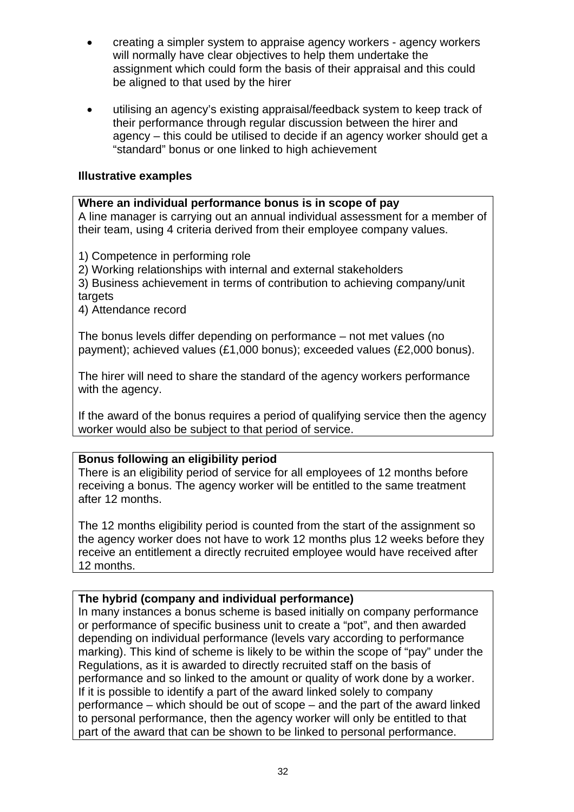- creating a simpler system to appraise agency workers agency workers will normally have clear objectives to help them undertake the assignment which could form the basis of their appraisal and this could be aligned to that used by the hirer
- utilising an agency's existing appraisal/feedback system to keep track of their performance through regular discussion between the hirer and agency – this could be utilised to decide if an agency worker should get a "standard" bonus or one linked to high achievement

### **Illustrative examples**

**Where an individual performance bonus is in scope of pay**  A line manager is carrying out an annual individual assessment for a member of their team, using 4 criteria derived from their employee company values.

1) Competence in performing role

2) Working relationships with internal and external stakeholders

3) Business achievement in terms of contribution to achieving company/unit targets

4) Attendance record

The bonus levels differ depending on performance – not met values (no payment); achieved values (£1,000 bonus); exceeded values (£2,000 bonus).

The hirer will need to share the standard of the agency workers performance with the agency.

If the award of the bonus requires a period of qualifying service then the agency worker would also be subject to that period of service.

## **Bonus following an eligibility period**

There is an eligibility period of service for all employees of 12 months before receiving a bonus. The agency worker will be entitled to the same treatment after 12 months.

The 12 months eligibility period is counted from the start of the assignment so the agency worker does not have to work 12 months plus 12 weeks before they receive an entitlement a directly recruited employee would have received after 12 months.

## **The hybrid (company and individual performance)**

In many instances a bonus scheme is based initially on company performance or performance of specific business unit to create a "pot", and then awarded depending on individual performance (levels vary according to performance marking). This kind of scheme is likely to be within the scope of "pay" under the Regulations, as it is awarded to directly recruited staff on the basis of performance and so linked to the amount or quality of work done by a worker. If it is possible to identify a part of the award linked solely to company performance – which should be out of scope – and the part of the award linked to personal performance, then the agency worker will only be entitled to that part of the award that can be shown to be linked to personal performance.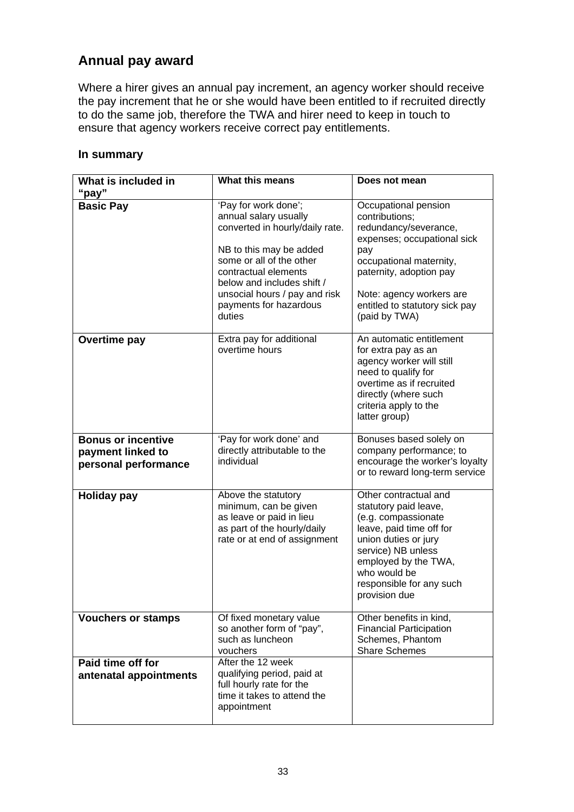## <span id="page-32-0"></span>**Annual pay award**

Where a hirer gives an annual pay increment, an agency worker should receive the pay increment that he or she would have been entitled to if recruited directly to do the same job, therefore the TWA and hirer need to keep in touch to ensure that agency workers receive correct pay entitlements.

#### **In summary**

| What is included in<br>"pay"                                           | What this means                                                                                                                                                                                                                                                    | Does not mean                                                                                                                                                                                                                              |
|------------------------------------------------------------------------|--------------------------------------------------------------------------------------------------------------------------------------------------------------------------------------------------------------------------------------------------------------------|--------------------------------------------------------------------------------------------------------------------------------------------------------------------------------------------------------------------------------------------|
| <b>Basic Pay</b>                                                       | 'Pay for work done';<br>annual salary usually<br>converted in hourly/daily rate.<br>NB to this may be added<br>some or all of the other<br>contractual elements<br>below and includes shift /<br>unsocial hours / pay and risk<br>payments for hazardous<br>duties | Occupational pension<br>contributions;<br>redundancy/severance,<br>expenses; occupational sick<br>pay<br>occupational maternity,<br>paternity, adoption pay<br>Note: agency workers are<br>entitled to statutory sick pay<br>(paid by TWA) |
| <b>Overtime pay</b>                                                    | Extra pay for additional<br>overtime hours                                                                                                                                                                                                                         | An automatic entitlement<br>for extra pay as an<br>agency worker will still<br>need to qualify for<br>overtime as if recruited<br>directly (where such<br>criteria apply to the<br>latter group)                                           |
| <b>Bonus or incentive</b><br>payment linked to<br>personal performance | 'Pay for work done' and<br>directly attributable to the<br>individual                                                                                                                                                                                              | Bonuses based solely on<br>company performance; to<br>encourage the worker's loyalty<br>or to reward long-term service                                                                                                                     |
| <b>Holiday pay</b>                                                     | Above the statutory<br>minimum, can be given<br>as leave or paid in lieu<br>as part of the hourly/daily<br>rate or at end of assignment                                                                                                                            | Other contractual and<br>statutory paid leave,<br>(e.g. compassionate<br>leave, paid time off for<br>union duties or jury<br>service) NB unless<br>employed by the TWA,<br>who would be<br>responsible for any such<br>provision due       |
| <b>Vouchers or stamps</b>                                              | Of fixed monetary value<br>so another form of "pay",<br>such as luncheon<br>vouchers                                                                                                                                                                               | Other benefits in kind,<br><b>Financial Participation</b><br>Schemes, Phantom<br><b>Share Schemes</b>                                                                                                                                      |
| Paid time off for<br>antenatal appointments                            | After the 12 week<br>qualifying period, paid at<br>full hourly rate for the<br>time it takes to attend the<br>appointment                                                                                                                                          |                                                                                                                                                                                                                                            |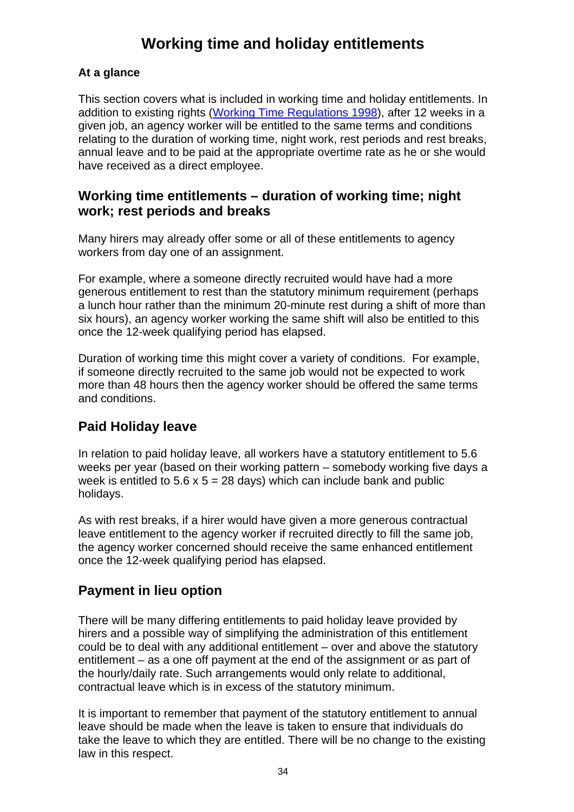# **Working time and holiday entitlements**

## <span id="page-33-0"></span>**At a glance**

This section covers what is included in working time and holiday entitlements. In addition to existing rights [\(Working Time Regulations 1998](http://www.bis.gov.uk/policies/employment-matters/rights/working-time)), after 12 weeks in a given job, an agency worker will be entitled to the same terms and conditions relating to the duration of working time, night work, rest periods and rest breaks, annual leave and to be paid at the appropriate overtime rate as he or she would have received as a direct employee.

## **Working time entitlements – duration of working time; night work; rest periods and breaks**

Many hirers may already offer some or all of these entitlements to agency workers from day one of an assignment.

For example, where a someone directly recruited would have had a more generous entitlement to rest than the statutory minimum requirement (perhaps a lunch hour rather than the minimum 20-minute rest during a shift of more than six hours), an agency worker working the same shift will also be entitled to this once the 12-week qualifying period has elapsed.

Duration of working time this might cover a variety of conditions. For example, if someone directly recruited to the same job would not be expected to work more than 48 hours then the agency worker should be offered the same terms and conditions.

## **Paid Holiday leave**

In relation to paid holiday leave, all workers have a statutory entitlement to 5.6 weeks per year (based on their working pattern – somebody working five days a week is entitled to  $5.6 \times 5 = 28$  days) which can include bank and public holidays.

As with rest breaks, if a hirer would have given a more generous contractual leave entitlement to the agency worker if recruited directly to fill the same job, the agency worker concerned should receive the same enhanced entitlement once the 12-week qualifying period has elapsed.

## **Payment in lieu option**

There will be many differing entitlements to paid holiday leave provided by hirers and a possible way of simplifying the administration of this entitlement could be to deal with any additional entitlement – over and above the statutory entitlement – as a one off payment at the end of the assignment or as part of the hourly/daily rate. Such arrangements would only relate to additional, contractual leave which is in excess of the statutory minimum.

It is important to remember that payment of the statutory entitlement to annual leave should be made when the leave is taken to ensure that individuals do take the leave to which they are entitled. There will be no change to the existing law in this respect.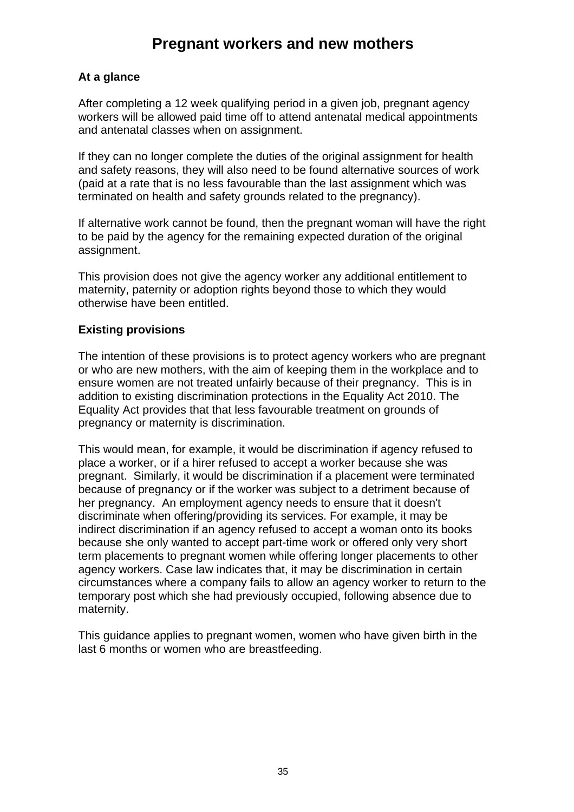# **Pregnant workers and new mothers**

### <span id="page-34-0"></span>**At a glance**

After completing a 12 week qualifying period in a given job, pregnant agency workers will be allowed paid time off to attend antenatal medical appointments and antenatal classes when on assignment.

If they can no longer complete the duties of the original assignment for health and safety reasons, they will also need to be found alternative sources of work (paid at a rate that is no less favourable than the last assignment which was terminated on health and safety grounds related to the pregnancy).

If alternative work cannot be found, then the pregnant woman will have the right to be paid by the agency for the remaining expected duration of the original assignment.

This provision does not give the agency worker any additional entitlement to maternity, paternity or adoption rights beyond those to which they would otherwise have been entitled.

### **Existing provisions**

The intention of these provisions is to protect agency workers who are pregnant or who are new mothers, with the aim of keeping them in the workplace and to ensure women are not treated unfairly because of their pregnancy. This is in addition to existing discrimination protections in the Equality Act 2010. The Equality Act provides that that less favourable treatment on grounds of pregnancy or maternity is discrimination.

This would mean, for example, it would be discrimination if agency refused to place a worker, or if a hirer refused to accept a worker because she was pregnant. Similarly, it would be discrimination if a placement were terminated because of pregnancy or if the worker was subject to a detriment because of her pregnancy. An employment agency needs to ensure that it doesn't discriminate when offering/providing its services. For example, it may be indirect discrimination if an agency refused to accept a woman onto its books because she only wanted to accept part-time work or offered only very short term placements to pregnant women while offering longer placements to other agency workers. Case law indicates that, it may be discrimination in certain circumstances where a company fails to allow an agency worker to return to the temporary post which she had previously occupied, following absence due to maternity.

This guidance applies to pregnant women, women who have given birth in the last 6 months or women who are breastfeeding.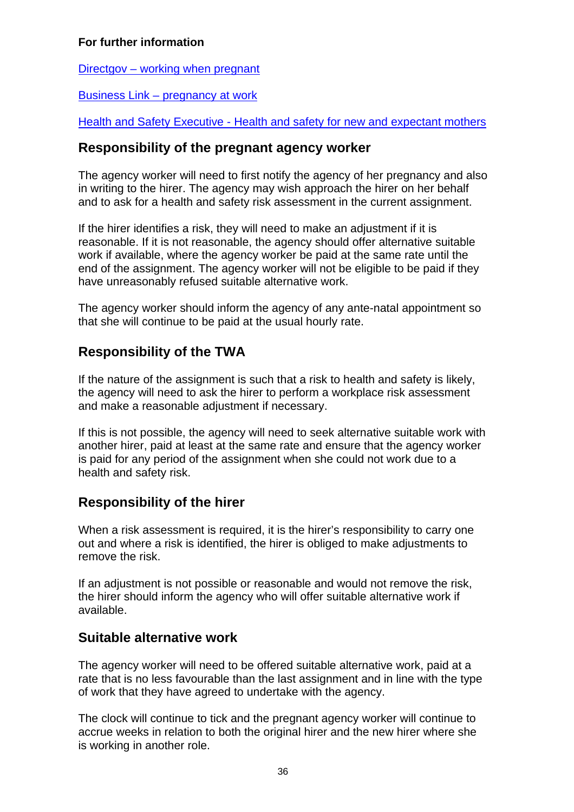## <span id="page-35-0"></span>For further information

Directgov – working when pregnant

Business Link – pregnancy at work

[He](http://www.hse.gov.uk/mothers/index.htm)alth and Safety Executive - Health and safety for new and expectant mothers

## **esponsibility of the pregnant agency worker R**

The agency worker will need to first notify the agency of her pregnancy and also in writing to the hirer. The agency may wish approach the hirer on her behalf and to ask for a health and safety risk assessment in the current assignment.

If the hirer identifies a risk, they will need to make an adjustment if it is reasonable. If it is not reasonable, the agency should offer alternative suitable end of the assignment. The agency worker will not be eligible to be paid if they work if available, where the agency worker be paid at the same rate until the have unreasonably refused suitable alternative work.

The agency worker should inform the agency of any ante-natal appointment so that she will continue to be paid at the usual hourly rate.

## **esponsibility of the TWA R**

If the nature of the assignment is such that a risk to health and safety is likely, the agency will need to ask the hirer to perform a workplace risk assessment and make a reasonable adjustment if necessary.

If this is not possible, the agency will need to seek alternative suitable work with another hirer, paid at least at the same rate and ensure that the agency worker is paid for any period of the assignment when she could not work due to a health and safety risk.

## **esponsibility of the hirer R**

When a risk assessment is required, it is the hirer's responsibility to carry one out and where a risk is identified, the hirer is obliged to make adjustments to remove the risk.

If an adjustment is not possible or reasonable and would not remove the risk, the hirer should inform the agency who will offer suitable alternative work if available.

## Suitable alternative work

The agency worker will need to be offered suitable alternative work, paid at a rate that is no less favourable than the last assignment and in line with the type of work that they have agreed to undertake with the agency.

The clock will continue to tick and the pregnant agency worker will continue to accrue weeks in relation to both the original hirer and the new hirer where she is working in another role.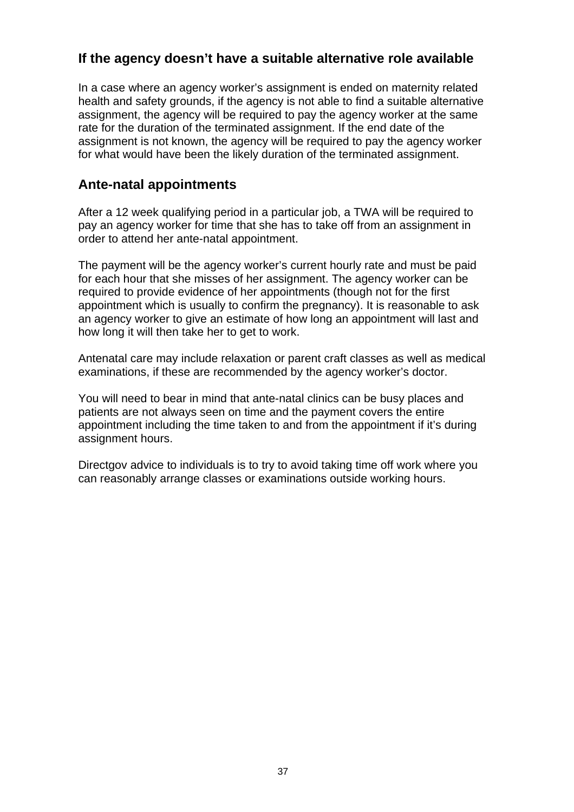## <span id="page-36-0"></span>**If the agency doesn't have a suitable alternative role available**

In a case where an agency worker's assignment is ended on maternity related health and safety grounds, if the agency is not able to find a suitable alternative assignment, the agency will be required to pay the agency worker at the same rate for the duration of the terminated assignment. If the end date of the assignment is not known, the agency will be required to pay the agency worker for what would have been the likely duration of the terminated assignment.

## **Ante-natal appointments**

After a 12 week qualifying period in a particular job, a TWA will be required to pay an agency worker for time that she has to take off from an assignment in order to attend her ante-natal appointment.

The payment will be the agency worker's current hourly rate and must be paid for each hour that she misses of her assignment. The agency worker can be required to provide evidence of her appointments (though not for the first appointment which is usually to confirm the pregnancy). It is reasonable to ask an agency worker to give an estimate of how long an appointment will last and how long it will then take her to get to work.

Antenatal care may include relaxation or parent craft classes as well as medical examinations, if these are recommended by the agency worker's doctor.

You will need to bear in mind that ante-natal clinics can be busy places and patients are not always seen on time and the payment covers the entire appointment including the time taken to and from the appointment if it's during assignment hours.

Directgov advice to individuals is to try to avoid taking time off work where you can reasonably arrange classes or examinations outside working hours.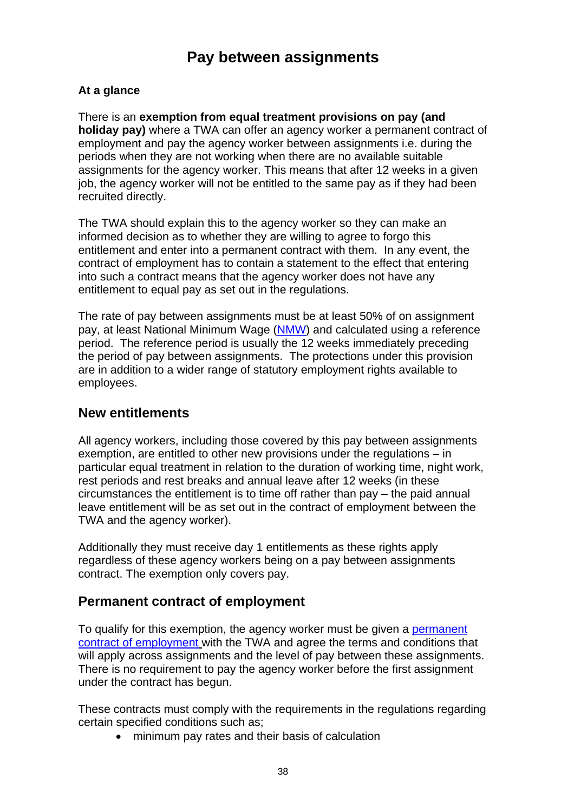# **Pay between assignments**

### <span id="page-37-0"></span>**At a glance**

There is an **exemption from equal treatment provisions on pay (and holiday pay)** where a TWA can offer an agency worker a permanent contract of employment and pay the agency worker between assignments i.e. during the periods when they are not working when there are no available suitable assignments for the agency worker. This means that after 12 weeks in a given job, the agency worker will not be entitled to the same pay as if they had been recruited directly.

The TWA should explain this to the agency worker so they can make an informed decision as to whether they are willing to agree to forgo this entitlement and enter into a permanent contract with them. In any event, the contract of employment has to contain a statement to the effect that entering into such a contract means that the agency worker does not have any entitlement to equal pay as set out in the regulations.

The rate of pay between assignments must be at least 50% of on assignment pay, at least National Minimum Wage [\(NMW](http://www.direct.gov.uk/en/Employment/Employees/NationalMinimumWage/index.htm)) and calculated using a reference period. The reference period is usually the 12 weeks immediately preceding the period of pay between assignments. The protections under this provision are in addition to a wider range of statutory employment rights available to employees.

## **New entitlements**

All agency workers, including those covered by this pay between assignments exemption, are entitled to other new provisions under the regulations – in particular equal treatment in relation to the duration of working time, night work, rest periods and rest breaks and annual leave after 12 weeks (in these circumstances the entitlement is to time off rather than pay – the paid annual leave entitlement will be as set out in the contract of employment between the TWA and the agency worker).

Additionally they must receive day 1 entitlements as these rights apply regardless of these agency workers being on a pay between assignments contract. The exemption only covers pay.

## **Permanent contract of employment**

To qualify for this exemption, the agency worker must be given a [permanent](http://www.acas.org.uk/index.aspx?articleid=1577)  [contract of employment](http://www.acas.org.uk/index.aspx?articleid=1577) with the TWA and agree the terms and conditions that will apply across assignments and the level of pay between these assignments. There is no requirement to pay the agency worker before the first assignment under the contract has begun.

These contracts must comply with the requirements in the regulations regarding certain specified conditions such as;

• minimum pay rates and their basis of calculation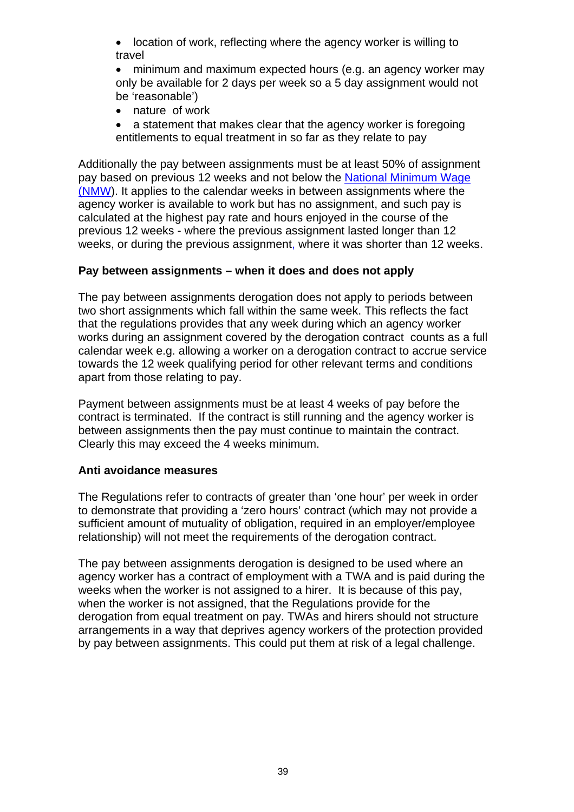• location of work, reflecting where the agency worker is willing to travel

• minimum and maximum expected hours (e.g. an agency worker may only be available for 2 days per week so a 5 day assignment would not be 'reasonable')

• nature of work

• a statement that makes clear that the agency worker is foregoing entitlements to equal treatment in so far as they relate to pay

Additionally the pay between assignments must be at least 50% of assignment pay based on previous 12 weeks and not below the National Minimum Wage [\(NMW](http://www.direct.gov.uk/en/Employment/Employees/NationalMinimumWage/index.htm)). It applies to the calendar weeks in between assignments where the agency worker is available to work but has no assignment, and such pay is calculated at the highest pay rate and hours enjoyed in the course of the previous 12 weeks - where the previous assignment lasted longer than 12 weeks, or during the previous assignment, where it was shorter than 12 weeks.

### **Pay between assignments – when it does and does not apply**

The pay between assignments derogation does not apply to periods between two short assignments which fall within the same week. This reflects the fact that the regulations provides that any week during which an agency worker works during an assignment covered by the derogation contract counts as a full calendar week e.g. allowing a worker on a derogation contract to accrue service towards the 12 week qualifying period for other relevant terms and conditions apart from those relating to pay.

Payment between assignments must be at least 4 weeks of pay before the contract is terminated. If the contract is still running and the agency worker is between assignments then the pay must continue to maintain the contract. Clearly this may exceed the 4 weeks minimum.

## **Anti avoidance measures**

The Regulations refer to contracts of greater than 'one hour' per week in order to demonstrate that providing a 'zero hours' contract (which may not provide a sufficient amount of mutuality of obligation, required in an employer/employee relationship) will not meet the requirements of the derogation contract.

The pay between assignments derogation is designed to be used where an agency worker has a contract of employment with a TWA and is paid during the weeks when the worker is not assigned to a hirer. It is because of this pay, when the worker is not assigned, that the Regulations provide for the derogation from equal treatment on pay. TWAs and hirers should not structure arrangements in a way that deprives agency workers of the protection provided by pay between assignments. This could put them at risk of a legal challenge.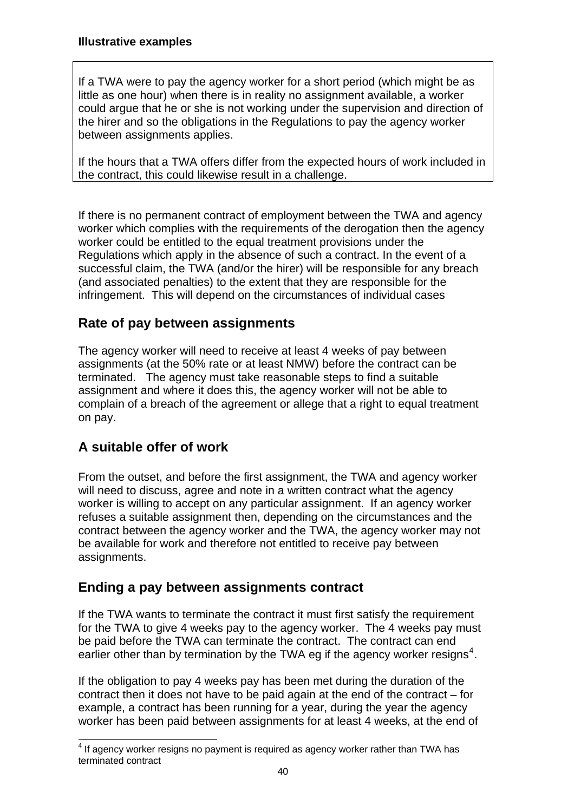<span id="page-39-0"></span>If a TWA were to pay the agency worker for a short period (which might be as little as one hour) when there is in reality no assignment available, a worker could argue that he or she is not working under the supervision and direction of the hirer and so the obligations in the Regulations to pay the agency worker between assignments applies.

If the hours that a TWA offers differ from the expected hours of work included in the contract, this could likewise result in a challenge.

If there is no permanent contract of employment between the TWA and agency worker which complies with the requirements of the derogation then the agency worker could be entitled to the equal treatment provisions under the Regulations which apply in the absence of such a contract. In the event of a successful claim, the TWA (and/or the hirer) will be responsible for any breach (and associated penalties) to the extent that they are responsible for the infringement. This will depend on the circumstances of individual cases

## **Rate of pay between assignments**

The agency worker will need to receive at least 4 weeks of pay between assignments (at the 50% rate or at least NMW) before the contract can be terminated. The agency must take reasonable steps to find a suitable assignment and where it does this, the agency worker will not be able to complain of a breach of the agreement or allege that a right to equal treatment on pay.

## **A suitable offer of work**

From the outset, and before the first assignment, the TWA and agency worker will need to discuss, agree and note in a written contract what the agency worker is willing to accept on any particular assignment. If an agency worker refuses a suitable assignment then, depending on the circumstances and the contract between the agency worker and the TWA, the agency worker may not be available for work and therefore not entitled to receive pay between assignments.

## **Ending a pay between assignments contract**

If the TWA wants to terminate the contract it must first satisfy the requirement for the TWA to give 4 weeks pay to the agency worker. The 4 weeks pay must be paid before the TWA can terminate the contract. The contract can end earlier other than by termination by the TWA eg if the agency worker resigns<sup>[4](#page-39-1)</sup>.

If the obligation to pay 4 weeks pay has been met during the duration of the contract then it does not have to be paid again at the end of the contract – for example, a contract has been running for a year, during the year the agency worker has been paid between assignments for at least 4 weeks, at the end of

<span id="page-39-1"></span><sup>&</sup>lt;u>end</u><br><sup>4</sup> If agency worker resigns no payment is required as agency worker rather than TWA has terminated contract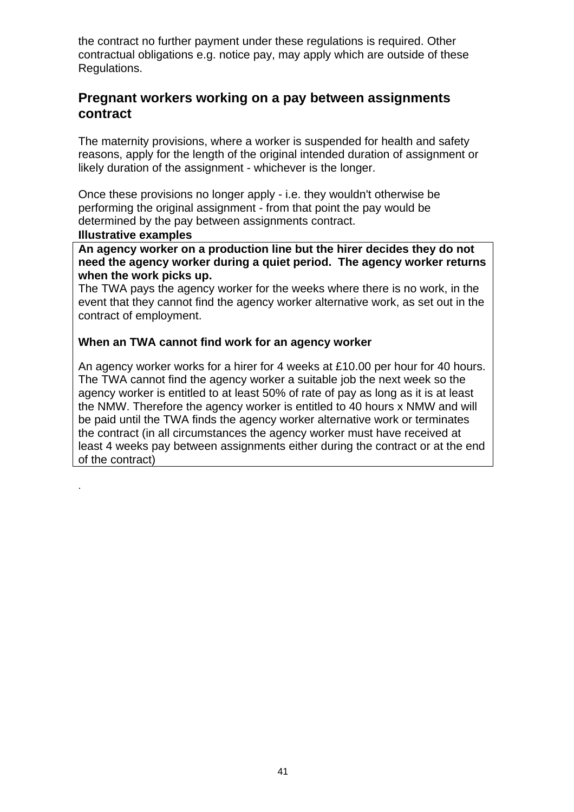<span id="page-40-0"></span>the contract no further payment under these regulations is required. Other contractual obligations e.g. notice pay, may apply which are outside of these Regulations.

## **Pregnant workers working on a pay between assignments contract**

The maternity provisions, where a worker is suspended for health and safety reasons, apply for the length of the original intended duration of assignment or likely duration of the assignment - whichever is the longer.

Once these provisions no longer apply - i.e. they wouldn't otherwise be performing the original assignment - from that point the pay would be determined by the pay between assignments contract.

#### **lustrative examples Il**

.

An agency worker on a production line but the hirer decides they do not **s need the agency worker during a quiet period. The agency worker return when the work picks up.** 

The TWA pays the agency worker for the weeks where there is no work, in the event that they cannot find the agency worker alternative work, as set out in the contract of employment.

### **hen an TWA cannot find work for an agency worker W**

An agency worker works for a hirer for 4 weeks at £10.00 per hour for 40 hours. least 4 weeks pay between assignments either during the contract or at the end The TWA cannot find the agency worker a suitable job the next week so the agency worker is entitled to at least 50% of rate of pay as long as it is at least the NMW. Therefore the agency worker is entitled to 40 hours x NMW and will be paid until the TWA finds the agency worker alternative work or terminates the contract (in all circumstances the agency worker must have received at of the contract)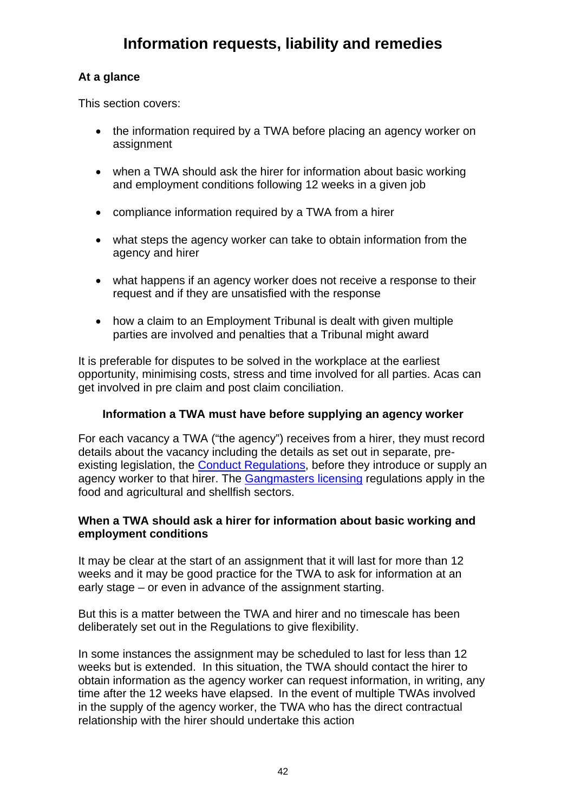## <span id="page-41-0"></span>**At a glance**

This section covers:

- the information required by a TWA before placing an agency worker on assignment
- when a TWA should ask the hirer for information about basic working and employment conditions following 12 weeks in a given job
- compliance information required by a TWA from a hirer
- what steps the agency worker can take to obtain information from the agency and hirer
- what happens if an agency worker does not receive a response to their request and if they are unsatisfied with the response
- how a claim to an Employment Tribunal is dealt with given multiple parties are involved and penalties that a Tribunal might award

It is preferable for disputes to be solved in the workplace at the earliest opportunity, minimising costs, stress and time involved for all parties. Acas can get involved in pre claim and post claim conciliation.

## **Information a TWA must have before supplying an agency worker**

For each vacancy a TWA ("the agency") receives from a hirer, they must record details about the vacancy including the details as set out in separate, pre-existing legislation, the [Conduct Regulations,](http://www.businesslink.gov.uk/bdotg/action/layer?topicId=1081755778) before they introduce or supply an agency worker to that hirer. The [Gangmasters licensing](http://gla.defra.gov.uk/) regulations apply in the food and agricultural and shellfish sectors.

### **When a TWA should ask a hirer for information about basic working and employment conditions**

It may be clear at the start of an assignment that it will last for more than 12 weeks and it may be good practice for the TWA to ask for information at an early stage – or even in advance of the assignment starting.

But this is a matter between the TWA and hirer and no timescale has been deliberately set out in the Regulations to give flexibility.

In some instances the assignment may be scheduled to last for less than 12 weeks but is extended. In this situation, the TWA should contact the hirer to obtain information as the agency worker can request information, in writing, any time after the 12 weeks have elapsed. In the event of multiple TWAs involved in the supply of the agency worker, the TWA who has the direct contractual relationship with the hirer should undertake this action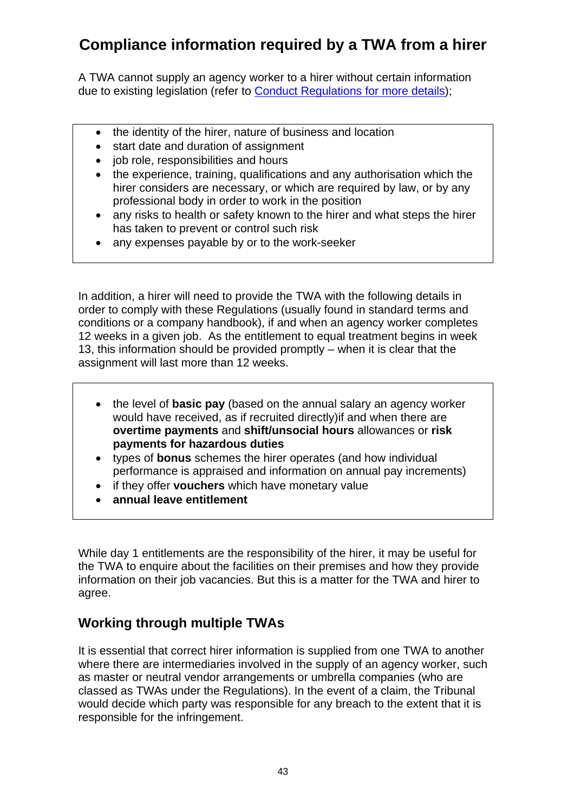# <span id="page-42-0"></span>**Compliance information required by a TWA from a hirer**

A TWA cannot supply an agency worker to a hirer without certain information due to existing legislation (refer to [Conduct Regulations](http://www.businesslink.gov.uk/bdotg/action/layer?topicId=1081755778) for more details);

- the identity of the hirer, nature of business and location
- start date and duration of assignment
- job role, responsibilities and hours
- the experience, training, qualifications and any authorisation which the hirer considers are necessary, or which are required by law, or by any professional body in order to work in the position
- any risks to health or safety known to the hirer and what steps the hirer has taken to prevent or control such risk
- any expenses payable by or to the work-seeker

In addition, a hirer will need to provide the TWA with the following details in order to comply with these Regulations (usually found in standard terms and conditions or a company handbook), if and when an agency worker completes 12 weeks in a given job. As the entitlement to equal treatment begins in week 13, this information should be provided promptly – when it is clear that the assignment will last more than 12 weeks.

- the level of **basic pay** (based on the annual salary an agency worker would have received, as if recruited directly)if and when there are **overtime payments** and **shift/unsocial hours** allowances or **risk payments for hazardous duties**
- performance is appraised and information on annual pay increments) • types of **bonus** schemes the hirer operates (and how individual
- if they offer **vouchers** which have monetary value
- **annual leave entitlement**

While day 1 entitlements are the responsibility of the hirer, it may be useful for the TWA to enquire about the facilities on their premises and how they provide information on their job vacancies. But this is a matter for the TWA and hirer to agree.

## **Working through multiple TWAs**

It is essential that correct hirer information is supplied from one TWA to another where there are intermediaries involved in the supply of an agency worker, such as master or neutral vendor arrangements or umbrella companies (who are classed as TWAs under the Regulations). In the event of a claim, the Tribunal would decide which party was responsible for any breach to the extent that it is responsible for the infringement.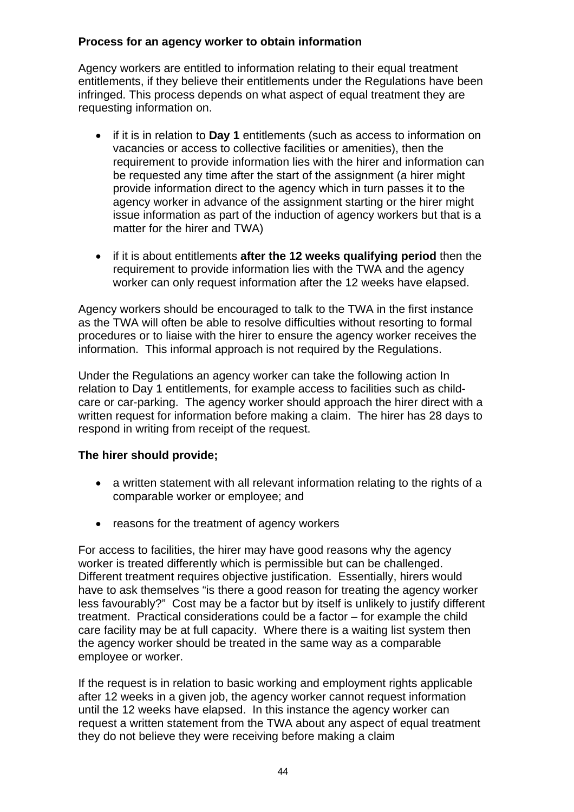### **Process for an agency worker to obtain information**

Agency workers are entitled to information relating to their equal treatment entitlements, if they believe their entitlements under the Regulations have been infringed. This process depends on what aspect of equal treatment they are requesting information on.

- if it is in relation to **Day 1** entitlements (such as access to information on vacancies or access to collective facilities or amenities), then the requirement to provide information lies with the hirer and information can be requested any time after the start of the assignment (a hirer might provide information direct to the agency which in turn passes it to the agency worker in advance of the assignment starting or the hirer might issue information as part of the induction of agency workers but that is a matter for the hirer and TWA)
- if it is about entitlements **after the 12 weeks qualifying period** then the requirement to provide information lies with the TWA and the agency worker can only request information after the 12 weeks have elapsed.

Agency workers should be encouraged to talk to the TWA in the first instance as the TWA will often be able to resolve difficulties without resorting to formal procedures or to liaise with the hirer to ensure the agency worker receives the information. This informal approach is not required by the Regulations.

Under the Regulations an agency worker can take the following action In relation to Day 1 entitlements, for example access to facilities such as childcare or car-parking. The agency worker should approach the hirer direct with a written request for information before making a claim. The hirer has 28 days to respond in writing from receipt of the request.

## **The hirer should provide;**

- a written statement with all relevant information relating to the rights of a comparable worker or employee; and
- reasons for the treatment of agency workers

For access to facilities, the hirer may have good reasons why the agency worker is treated differently which is permissible but can be challenged. Different treatment requires objective justification. Essentially, hirers would have to ask themselves "is there a good reason for treating the agency worker less favourably?" Cost may be a factor but by itself is unlikely to justify different treatment. Practical considerations could be a factor – for example the child care facility may be at full capacity. Where there is a waiting list system then the agency worker should be treated in the same way as a comparable employee or worker.

If the request is in relation to basic working and employment rights applicable after 12 weeks in a given job, the agency worker cannot request information until the 12 weeks have elapsed. In this instance the agency worker can request a written statement from the TWA about any aspect of equal treatment they do not believe they were receiving before making a claim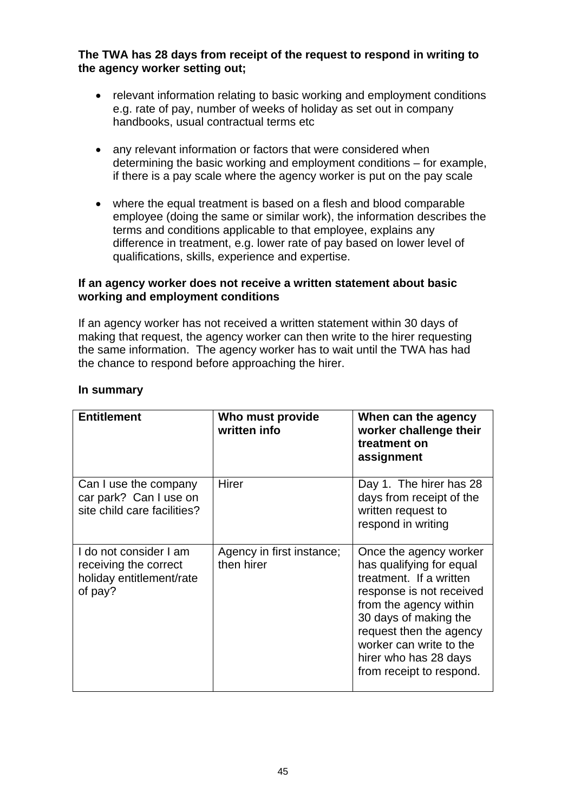**The TWA has 28 days from receipt of the request to respond in writing to the agency worker setting out;** 

- relevant information relating to basic working and employment conditions e.g. rate of pay, number of weeks of holiday as set out in company handbooks, usual contractual terms etc
- any relevant information or factors that were considered when determining the basic working and employment conditions – for example, if there is a pay scale where the agency worker is put on the pay scale
- where the equal treatment is based on a flesh and blood comparable employee (doing the same or similar work), the information describes the terms and conditions applicable to that employee, explains any difference in treatment, e.g. lower rate of pay based on lower level of qualifications, skills, experience and expertise.

### **If an agency worker does not receive a written statement about basic working and employment conditions**

If an agency worker has not received a written statement within 30 days of making that request, the agency worker can then write to the hirer requesting the same information. The agency worker has to wait until the TWA has had the chance to respond before approaching the hirer.

| <b>Entitlement</b>                                                                     | Who must provide<br>written info        | When can the agency<br>worker challenge their<br>treatment on<br>assignment                                                                                                                                                                                             |
|----------------------------------------------------------------------------------------|-----------------------------------------|-------------------------------------------------------------------------------------------------------------------------------------------------------------------------------------------------------------------------------------------------------------------------|
| Can I use the company<br>car park? Can I use on<br>site child care facilities?         | Hirer                                   | Day 1. The hirer has 28<br>days from receipt of the<br>written request to<br>respond in writing                                                                                                                                                                         |
| I do not consider I am<br>receiving the correct<br>holiday entitlement/rate<br>of pay? | Agency in first instance;<br>then hirer | Once the agency worker<br>has qualifying for equal<br>treatment. If a written<br>response is not received<br>from the agency within<br>30 days of making the<br>request then the agency<br>worker can write to the<br>hirer who has 28 days<br>from receipt to respond. |

### **In summary**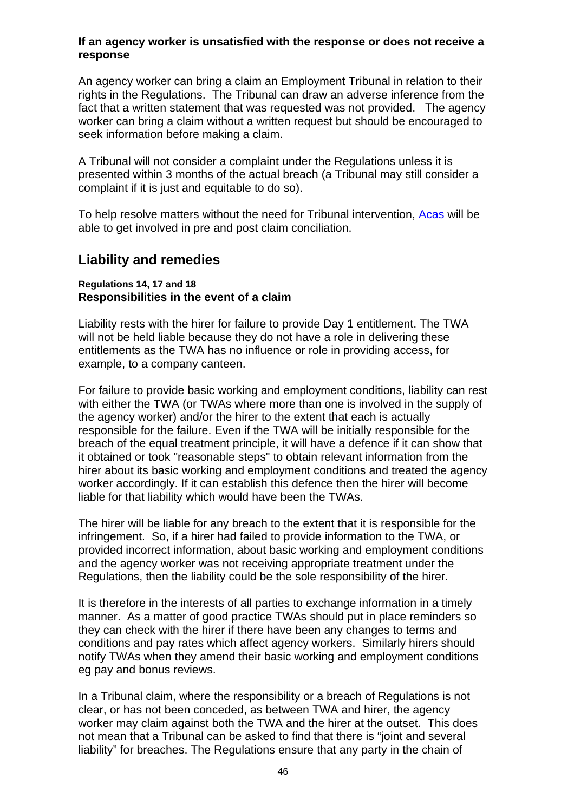#### <span id="page-45-0"></span>**If an agency worker is unsatisfied with the response or does not receive a response**

An agency worker can bring a claim an Employment Tribunal in relation to their rights in the Regulations. The Tribunal can draw an adverse inference from the fact that a written statement that was requested was not provided. The agency worker can bring a claim without a written request but should be encouraged to seek information before making a claim.

A Tribunal will not consider a complaint under the Regulations unless it is presented within 3 months of the actual breach (a Tribunal may still consider a complaint if it is just and equitable to do so).

To help resolve matters without the need for Tribunal intervention, [Acas](http://www.acas.org.uk/index.aspx?articleid=1461) will be able to get involved in pre and post claim conciliation.

## **Liability and remedies**

#### **Regulations 14, 17 and 18 Responsibilities in the event of a claim**

Liability rests with the hirer for failure to provide Day 1 entitlement. The TWA will not be held liable because they do not have a role in delivering these entitlements as the TWA has no influence or role in providing access, for example, to a company canteen.

For failure to provide basic working and employment conditions, liability can rest responsible for the failure. Even if the TWA will be initially responsible for the breach of the equal treatment principle, it will have a defence if it can show that hirer about its basic working and employment conditions and treated the agency with either the TWA (or TWAs where more than one is involved in the supply of the agency worker) and/or the hirer to the extent that each is actually it obtained or took "reasonable steps" to obtain relevant information from the worker accordingly. If it can establish this defence then the hirer will become liable for that liability which would have been the TWAs.

The hirer will be liable for any breach to the extent that it is responsible for the provided incorrect information, about basic working and employment conditions infringement. So, if a hirer had failed to provide information to the TWA, or and the agency worker was not receiving appropriate treatment under the Regulations, then the liability could be the sole responsibility of the hirer.

It is therefore in the interests of all parties to exchange information in a timely conditions and pay rates which affect agency workers. Similarly hirers should manner. As a matter of good practice TWAs should put in place reminders so they can check with the hirer if there have been any changes to terms and notify TWAs when they amend their basic working and employment conditions eg pay and bonus reviews.

In a Tribunal claim, where the responsibility or a breach of Regulations is not worker may claim against both the TWA and the hirer at the outset. This does clear, or has not been conceded, as between TWA and hirer, the agency not mean that a Tribunal can be asked to find that there is "joint and several liability" for breaches. The Regulations ensure that any party in the chain of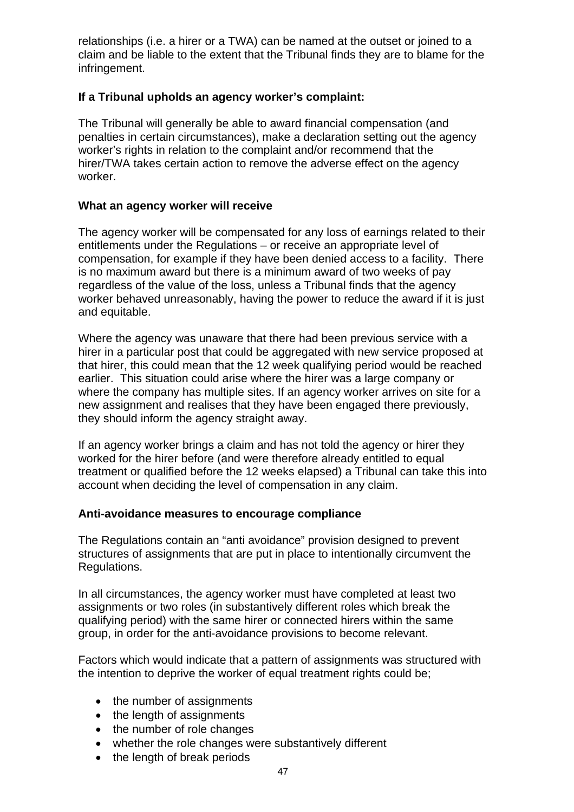claim and be liable to the extent that the Tribunal finds they are to blame for the relationships (i.e. a hirer or a TWA) can be named at the outset or joined to a infringement.

### **a Tribunal upholds an agency worker's complaint: If**

The Tribunal will generally be able to award financial compensation (and penalties in certain circumstances), make a declaration setting out the agency hirer/TWA takes certain action to remove the adverse effect on the agency worker's rights in relation to the complaint and/or recommend that the worker.

#### **hat an agency worker will receive W**

The agency worker will be compensated for any loss of earnings related to their compensation, for example if they have been denied access to a facility. There worker behaved unreasonably, having the power to reduce the award if it is just entitlements under the Regulations – or receive an appropriate level of is no maximum award but there is a minimum award of two weeks of pay regardless of the value of the loss, unless a Tribunal finds that the agency and equitable.

Where the agency was unaware that there had been previous service with a hirer in a particular post that could be aggregated with new service proposed at where the company has multiple sites. If an agency worker arrives on site for a that hirer, this could mean that the 12 week qualifying period would be reached earlier. This situation could arise where the hirer was a large company or new assignment and realises that they have been engaged there previously, they should inform the agency straight away.

If an agency worker brings a claim and has not told the agency or hirer they treatment or qualified before the 12 weeks elapsed) a Tribunal can take this into worked for the hirer before (and were therefore already entitled to equal account when deciding the level of compensation in any claim.

### Anti-avoidance measures to encourage compliance

The Regulations contain an "anti avoidance" provision designed to prevent structures of assignments that are put in place to intentionally circumvent the Regulations.

In all circumstances, the agency worker must have completed at least two assignments or two roles (in substantively different roles which break the qualifying period) with the same hirer or connected hirers within the same group, in order for the anti-avoidance provisions to become relevant.

Factors which would indicate that a pattern of assignments was structured with the intention to deprive the worker of equal treatment rights could be;

- the number of assignments
- the length of assignments
- the number of role changes
- whether the role changes were substantively different
- the length of break periods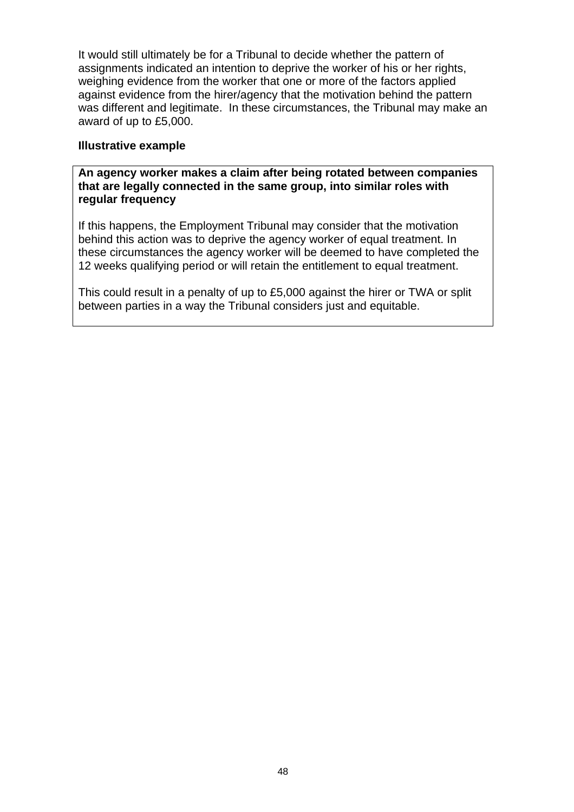It would still ultimately be for a Tribunal to decide whether the pattern of assignments indicated an intention to deprive the worker of his or her rights, against evidence from the hirer/agency that the motivation behind the pattern was different and legitimate. In these circumstances, the Tribunal may make an weighing evidence from the worker that one or more of the factors applied award of up to £5,000.

### **lustrative example Il**

### **n agency worker makes a claim after being rotated between companies A that are legally connected in the same group, into similar roles with regular frequency**

If this happens, the Employment Tribunal may consider that the motivation these circumstances the agency worker will be deemed to have completed the behind this action was to deprive the agency worker of equal treatment. In 12 weeks qualifying period or will retain the entitlement to equal treatment.

This could result in a penalty of up to £5,000 against the hirer or TWA or split between parties in a way the Tribunal considers just and equitable.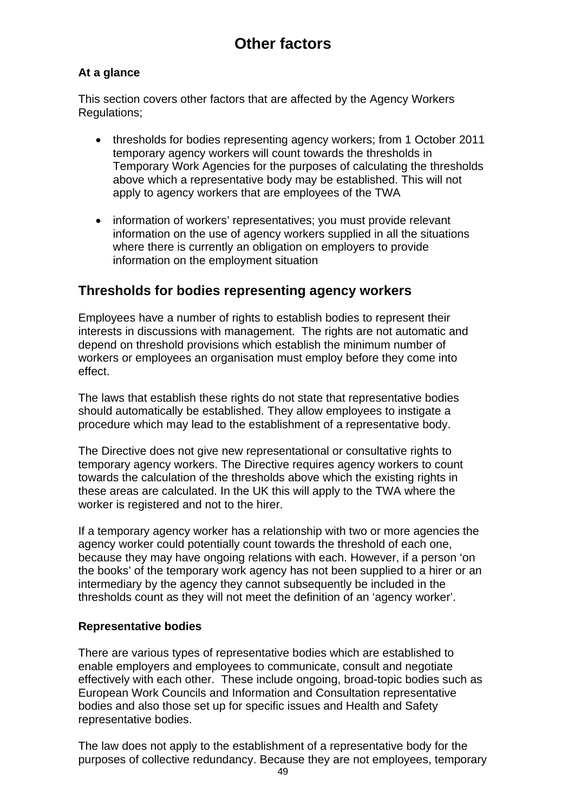# **Other factors**

### <span id="page-48-0"></span>**At a glance**

This section covers other factors that are affected by the Agency Workers Regulations;

- thresholds for bodies representing agency workers; from 1 October 2011 temporary agency workers will count towards the thresholds in Temporary Work Agencies for the purposes of calculating the thresholds above which a representative body may be established. This will not apply to agency workers that are employees of the TWA
- information of workers' representatives; you must provide relevant information on the use of agency workers supplied in all the situations where there is currently an obligation on employers to provide information on the employment situation

## **Thresholds for bodies representing agency workers**

Employees have a number of rights to establish bodies to represent their interests in discussions with management. The rights are not automatic and depend on threshold provisions which establish the minimum number of workers or employees an organisation must employ before they come into effect.

The laws that establish these rights do not state that representative bodies should automatically be established. They allow employees to instigate a procedure which may lead to the establishment of a representative body.

The Directive does not give new representational or consultative rights to temporary agency workers. The Directive requires agency workers to count towards the calculation of the thresholds above which the existing rights in these areas are calculated. In the UK this will apply to the TWA where the worker is registered and not to the hirer.

If a temporary agency worker has a relationship with two or more agencies the agency worker could potentially count towards the threshold of each one, because they may have ongoing relations with each. However, if a person 'on the books' of the temporary work agency has not been supplied to a hirer or an intermediary by the agency they cannot subsequently be included in the thresholds count as they will not meet the definition of an 'agency worker'.

### **Representative bodies**

There are various types of representative bodies which are established to enable employers and employees to communicate, consult and negotiate effectively with each other. These include ongoing, broad-topic bodies such as European Work Councils and Information and Consultation representative bodies and also those set up for specific issues and Health and Safety representative bodies.

The law does not apply to the establishment of a representative body for the purposes of collective redundancy. Because they are not employees, temporary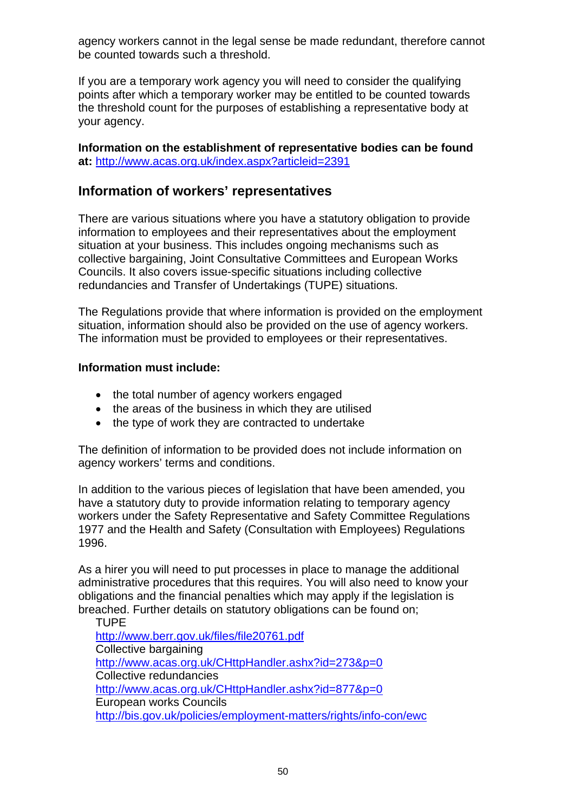<span id="page-49-0"></span>agency workers cannot in the legal sense be made redundant, therefore cannot be counted towards such a threshold.

If you are a temporary work agency you will need to consider the qualifying points after which a temporary worker may be entitled to be counted towards the threshold count for the purposes of establishing a representative body at your agency.

**Information on the establishment of representati[ve](http://www.acas.org.uk/index.aspx?articleid=2391) bodies can be found at:** <http://www.acas.org.uk/index.aspx?articleid=2391>

## **Information of workers' representatives**

There are various situations where you have a statutory obligation to provide information to employees and their representatives about the employment situation at your business. This includes ongoing mechanisms such as collective bargaining, Joint Consultative Committees and European Works Councils. It also covers issue-specific situations including collective redundancies and Transfer of Undertakings (TUPE) situations.

The Regulations provide that where information is provided on the employment situation, information should also be provided on the use of agency workers. The information must be provided to employees or their representatives.

### **Information must include:**

- the total number of agency workers engaged
- the areas of the business in which they are utilised
- the type of work they are contracted to undertake

The definition of information to be provided does not include information on agency workers' terms and conditions.

In addition to the various pieces of legislation that have been amended, you have a statutory duty to provide information relating to temporary agency workers under the Safety Representative and Safety Committee Regulations 1977 and the Health and Safety (Consultation with Employees) Regulations 1996.

As a hirer you will need to put processes in place to manage the additional administrative procedures that this requires. You will also need to know your obligations and the financial penalties which may apply if the legislation is breached. Further details on statutory obligations can be found on;

TUPE <http://www.berr.gov.uk/files/file20761.pdf> Collective bargaining <http://www.acas.org.uk/CHttpHandler.ashx?id=273&p=0> Collective redundancies <http://www.acas.org.uk/CHttpHandler.ashx?id=877&p=0> European works Councils <http://bis.gov.uk/policies/employment-matters/rights/info-con/ewc>